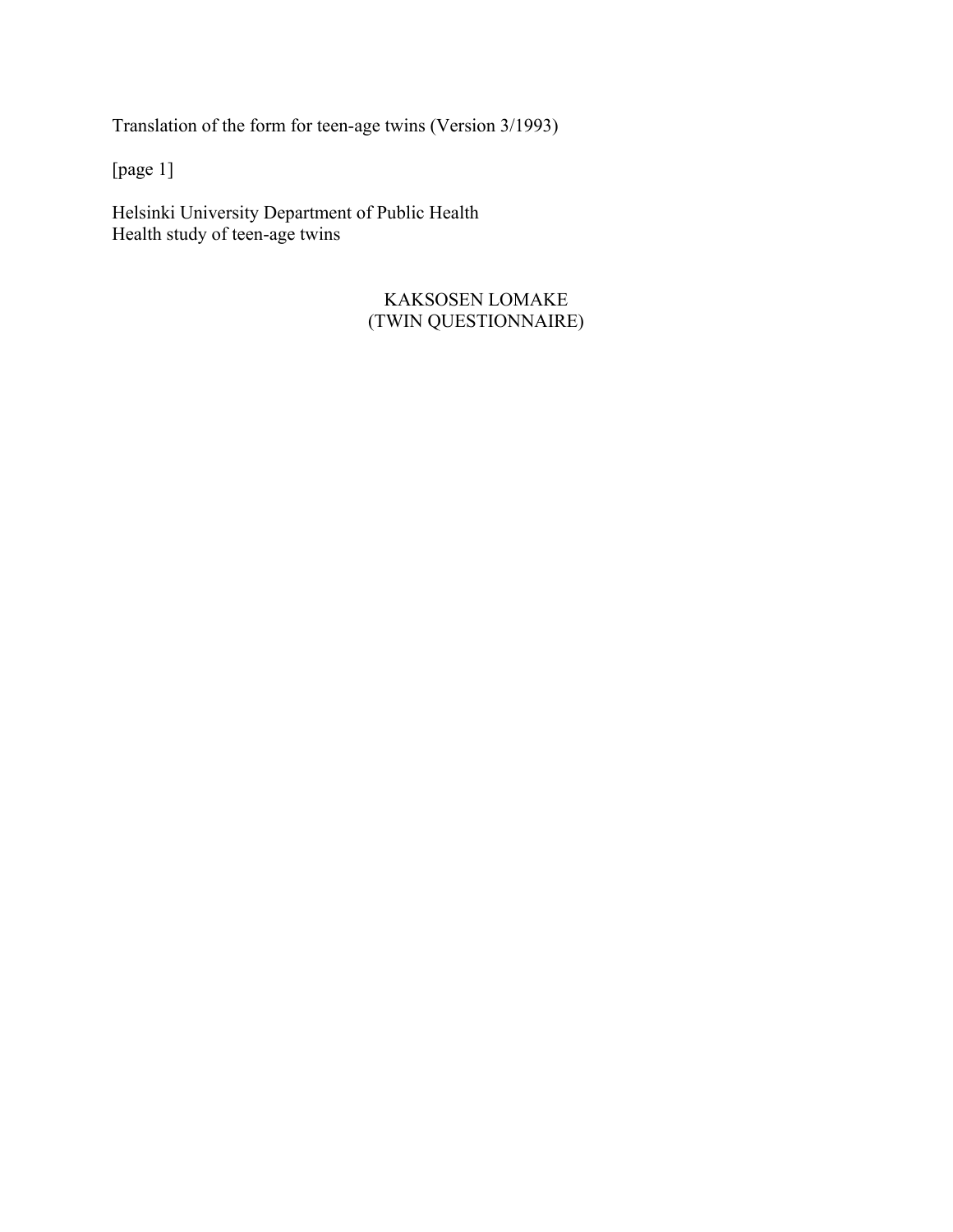Translation of the form for teen-age twins (Version 3/1993)

[page 1]

Helsinki University Department of Public Health Health study of teen-age twins

> KAKSOSEN LOMAKE (TWIN QUESTIONNAIRE)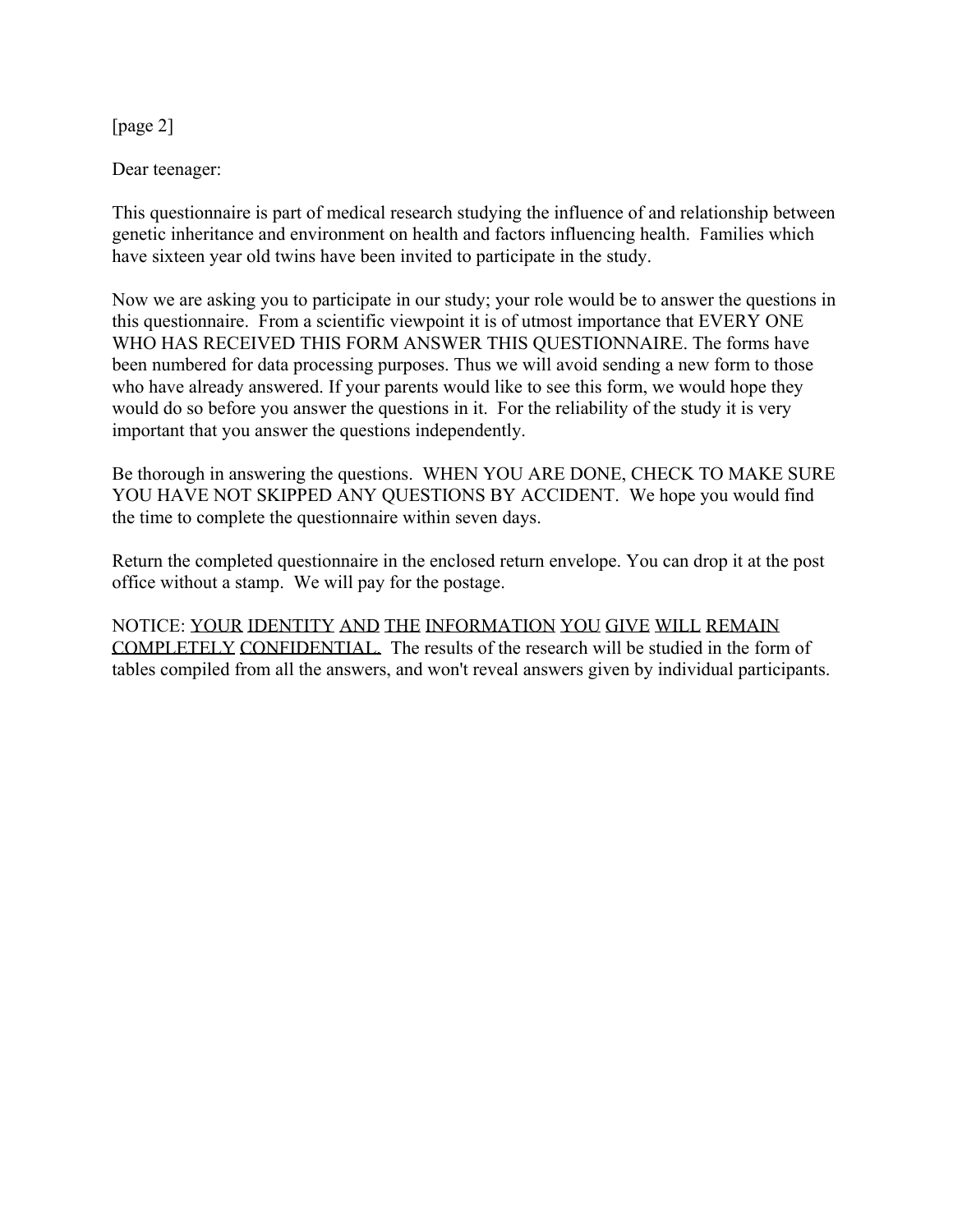[page 2]

Dear teenager:

This questionnaire is part of medical research studying the influence of and relationship between genetic inheritance and environment on health and factors influencing health. Families which have sixteen year old twins have been invited to participate in the study.

Now we are asking you to participate in our study; your role would be to answer the questions in this questionnaire. From a scientific viewpoint it is of utmost importance that EVERY ONE WHO HAS RECEIVED THIS FORM ANSWER THIS QUESTIONNAIRE. The forms have been numbered for data processing purposes. Thus we will avoid sending a new form to those who have already answered. If your parents would like to see this form, we would hope they would do so before you answer the questions in it. For the reliability of the study it is very important that you answer the questions independently.

Be thorough in answering the questions. WHEN YOU ARE DONE, CHECK TO MAKE SURE YOU HAVE NOT SKIPPED ANY QUESTIONS BY ACCIDENT. We hope you would find the time to complete the questionnaire within seven days.

Return the completed questionnaire in the enclosed return envelope. You can drop it at the post office without a stamp. We will pay for the postage.

NOTICE: YOUR IDENTITY AND THE INFORMATION YOU GIVE WILL REMAIN COMPLETELY CONFIDENTIAL. The results of the research will be studied in the form of tables compiled from all the answers, and won't reveal answers given by individual participants.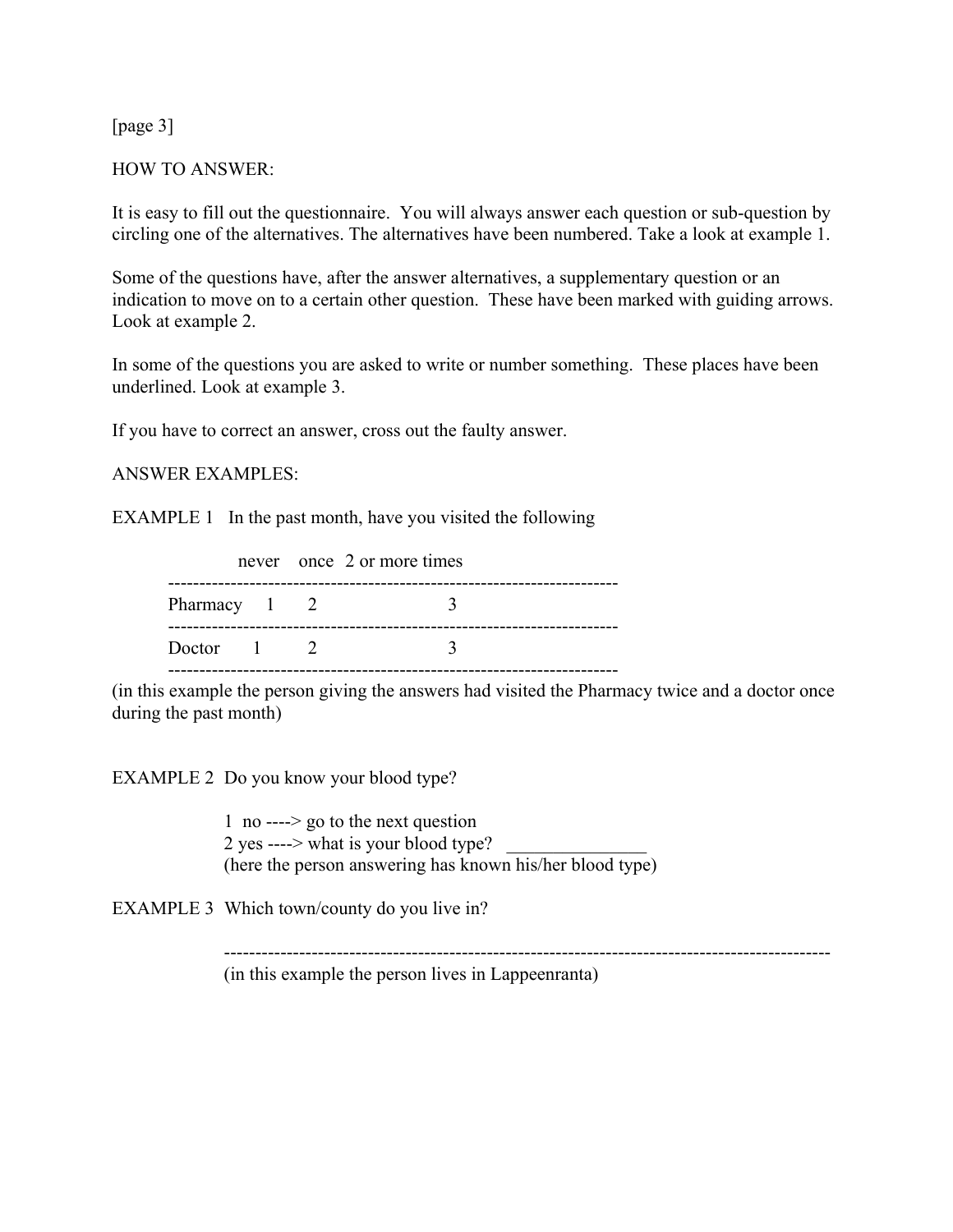[page 3]

#### HOW TO ANSWER:

It is easy to fill out the questionnaire. You will always answer each question or sub-question by circling one of the alternatives. The alternatives have been numbered. Take a look at example 1.

Some of the questions have, after the answer alternatives, a supplementary question or an indication to move on to a certain other question. These have been marked with guiding arrows. Look at example 2.

In some of the questions you are asked to write or number something. These places have been underlined. Look at example 3.

If you have to correct an answer, cross out the faulty answer.

#### ANSWER EXAMPLES:

EXAMPLE 1 In the past month, have you visited the following

|                 |  | never once 2 or more times |
|-----------------|--|----------------------------|
| Pharmacy 1 2    |  |                            |
| Doctor $1 \t 2$ |  |                            |
|                 |  |                            |

(in this example the person giving the answers had visited the Pharmacy twice and a doctor once during the past month)

EXAMPLE 2 Do you know your blood type?

 1 no ----> go to the next question 2 yes ----> what is your blood type? (here the person answering has known his/her blood type)

EXAMPLE 3 Which town/county do you live in?

 ------------------------------------------------------------------------------------------------- (in this example the person lives in Lappeenranta)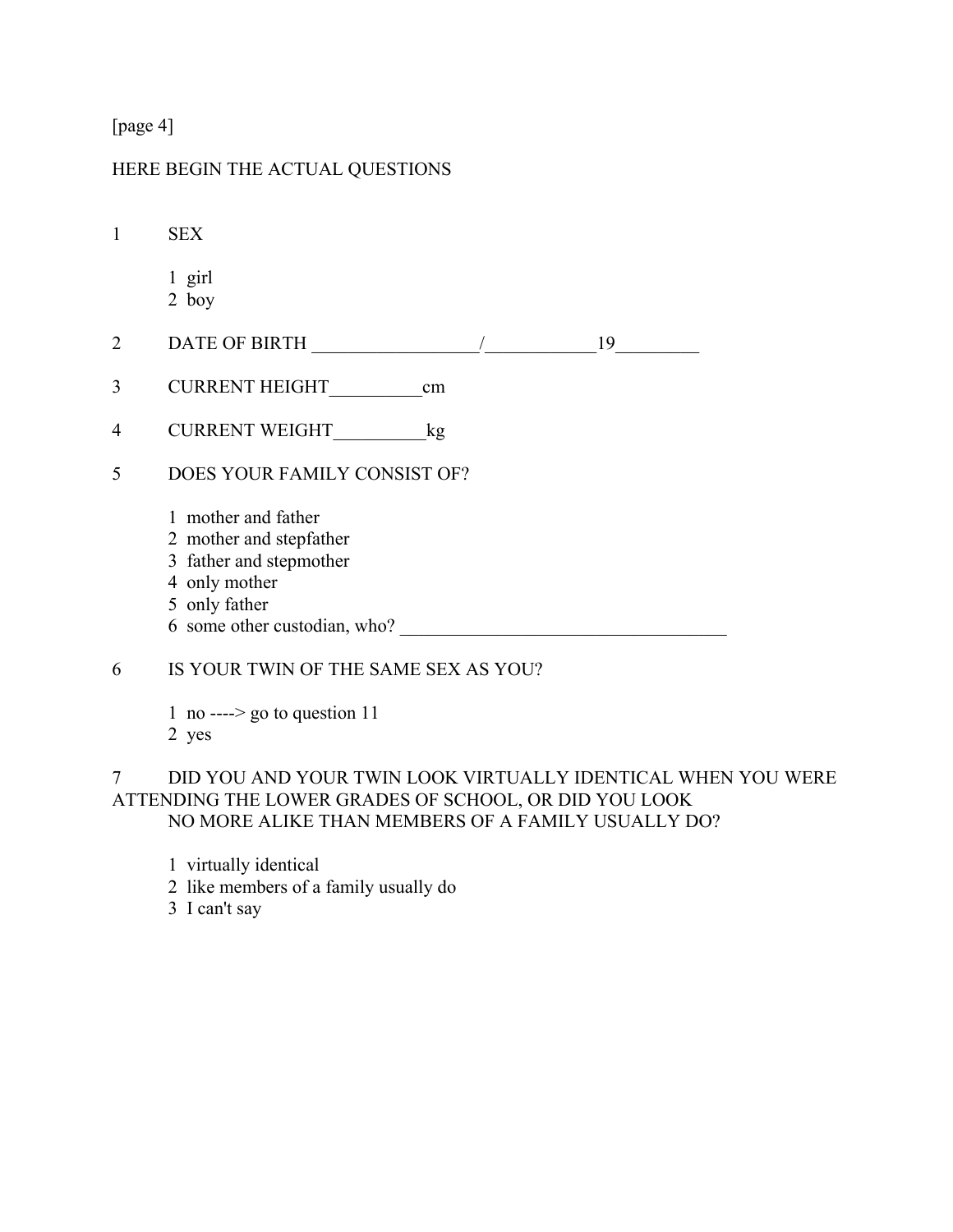[page 4]

# HERE BEGIN THE ACTUAL QUESTIONS

1 SEX

- 1 girl 2 boy
- 2 DATE OF BIRTH  $\frac{19}{2}$
- 3 CURRENT HEIGHT cm
- 4 CURRENT WEIGHT\_\_\_\_\_\_\_\_\_\_kg
- 5 DOES YOUR FAMILY CONSIST OF?
	- 1 mother and father
	- 2 mother and stepfather
	- 3 father and stepmother
	- 4 only mother
	- 5 only father
	- 6 some other custodian, who? \_\_\_\_\_\_\_\_\_\_\_\_\_\_\_\_\_\_\_\_\_\_\_\_\_\_\_\_\_\_\_\_\_\_\_
- 6 IS YOUR TWIN OF THE SAME SEX AS YOU?
	- 1 no ----> go to question  $11$ 2 yes

#### 7 DID YOU AND YOUR TWIN LOOK VIRTUALLY IDENTICAL WHEN YOU WERE ATTENDING THE LOWER GRADES OF SCHOOL, OR DID YOU LOOK NO MORE ALIKE THAN MEMBERS OF A FAMILY USUALLY DO?

- 1 virtually identical
- 2 like members of a family usually do
- 3 I can't say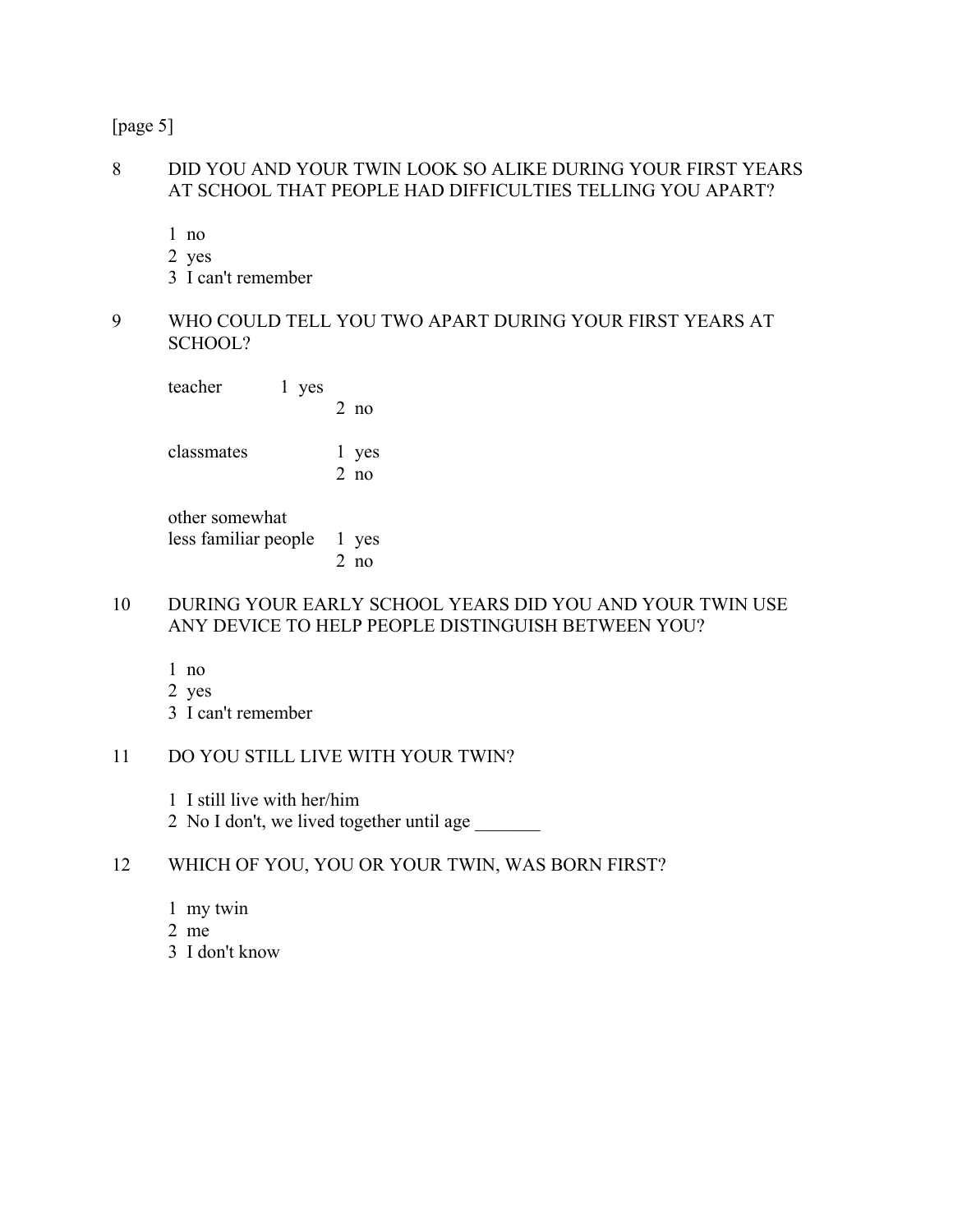[page 5]

#### 8 DID YOU AND YOUR TWIN LOOK SO ALIKE DURING YOUR FIRST YEARS AT SCHOOL THAT PEOPLE HAD DIFFICULTIES TELLING YOU APART?

1 no

- 2 yes
- 3 I can't remember
- 9 WHO COULD TELL YOU TWO APART DURING YOUR FIRST YEARS AT SCHOOL?

| teacher    | l yes | $2$ no             |
|------------|-------|--------------------|
| classmates |       | 1 yes<br>$2 \n 10$ |

 other somewhat less familiar people 1 yes 2 no

- 10 DURING YOUR EARLY SCHOOL YEARS DID YOU AND YOUR TWIN USE ANY DEVICE TO HELP PEOPLE DISTINGUISH BETWEEN YOU?
	- 1 no 2 yes 3 I can't remember

## 11 DO YOU STILL LIVE WITH YOUR TWIN?

1 I still live with her/him

2 No I don't, we lived together until age

# 12 WHICH OF YOU, YOU OR YOUR TWIN, WAS BORN FIRST?

- 1 my twin
- 2 me
- 3 I don't know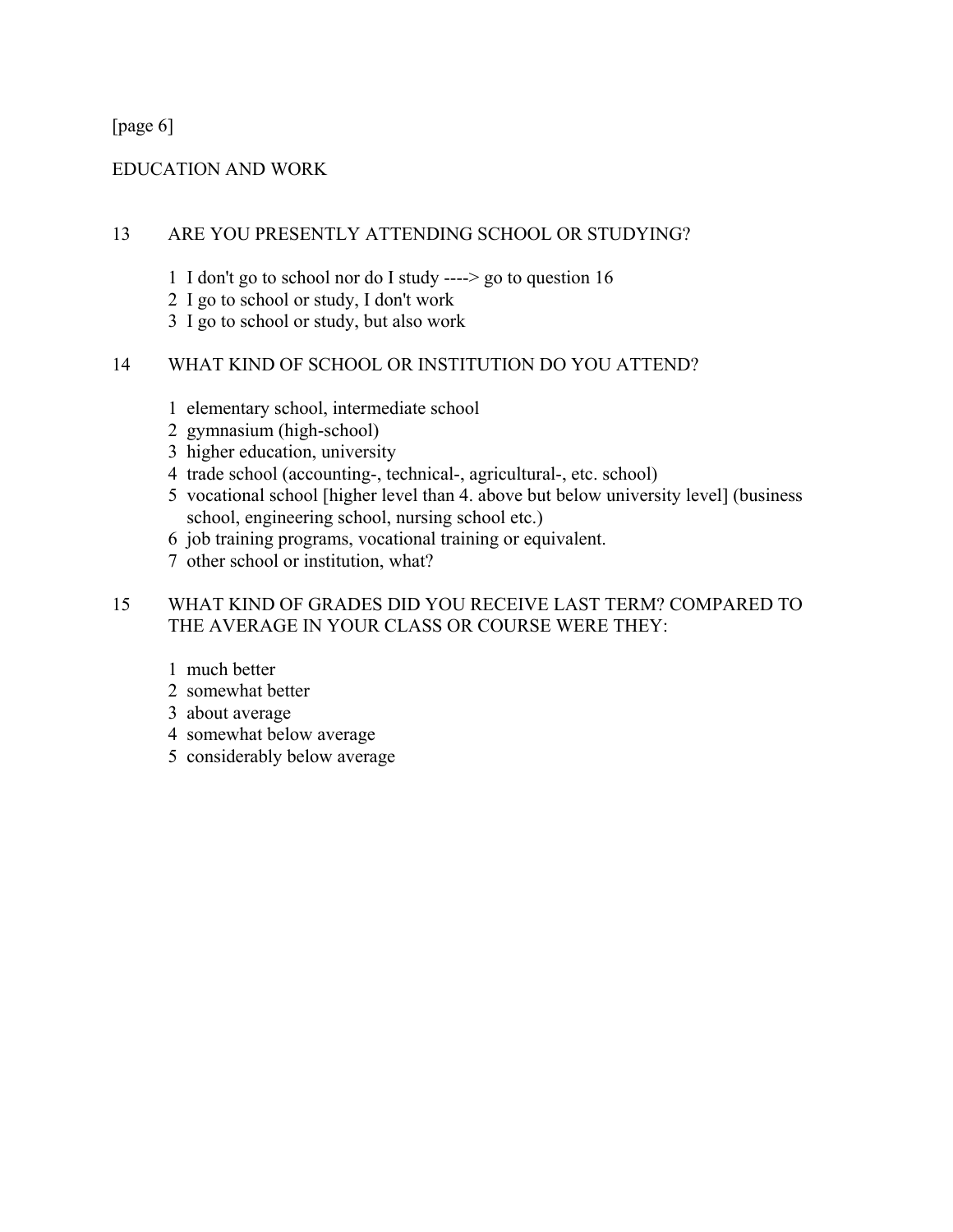[page 6]

#### EDUCATION AND WORK

#### 13 ARE YOU PRESENTLY ATTENDING SCHOOL OR STUDYING?

- 1 I don't go to school nor do I study ----> go to question 16
- 2 I go to school or study, I don't work
- 3 I go to school or study, but also work

#### 14 WHAT KIND OF SCHOOL OR INSTITUTION DO YOU ATTEND?

- 1 elementary school, intermediate school
- 2 gymnasium (high-school)
- 3 higher education, university
- 4 trade school (accounting-, technical-, agricultural-, etc. school)
- 5 vocational school [higher level than 4. above but below university level] (business school, engineering school, nursing school etc.)
- 6 job training programs, vocational training or equivalent.
- 7 other school or institution, what?

## 15 WHAT KIND OF GRADES DID YOU RECEIVE LAST TERM? COMPARED TO THE AVERAGE IN YOUR CLASS OR COURSE WERE THEY:

- 1 much better
- 2 somewhat better
- 3 about average
- 4 somewhat below average
- 5 considerably below average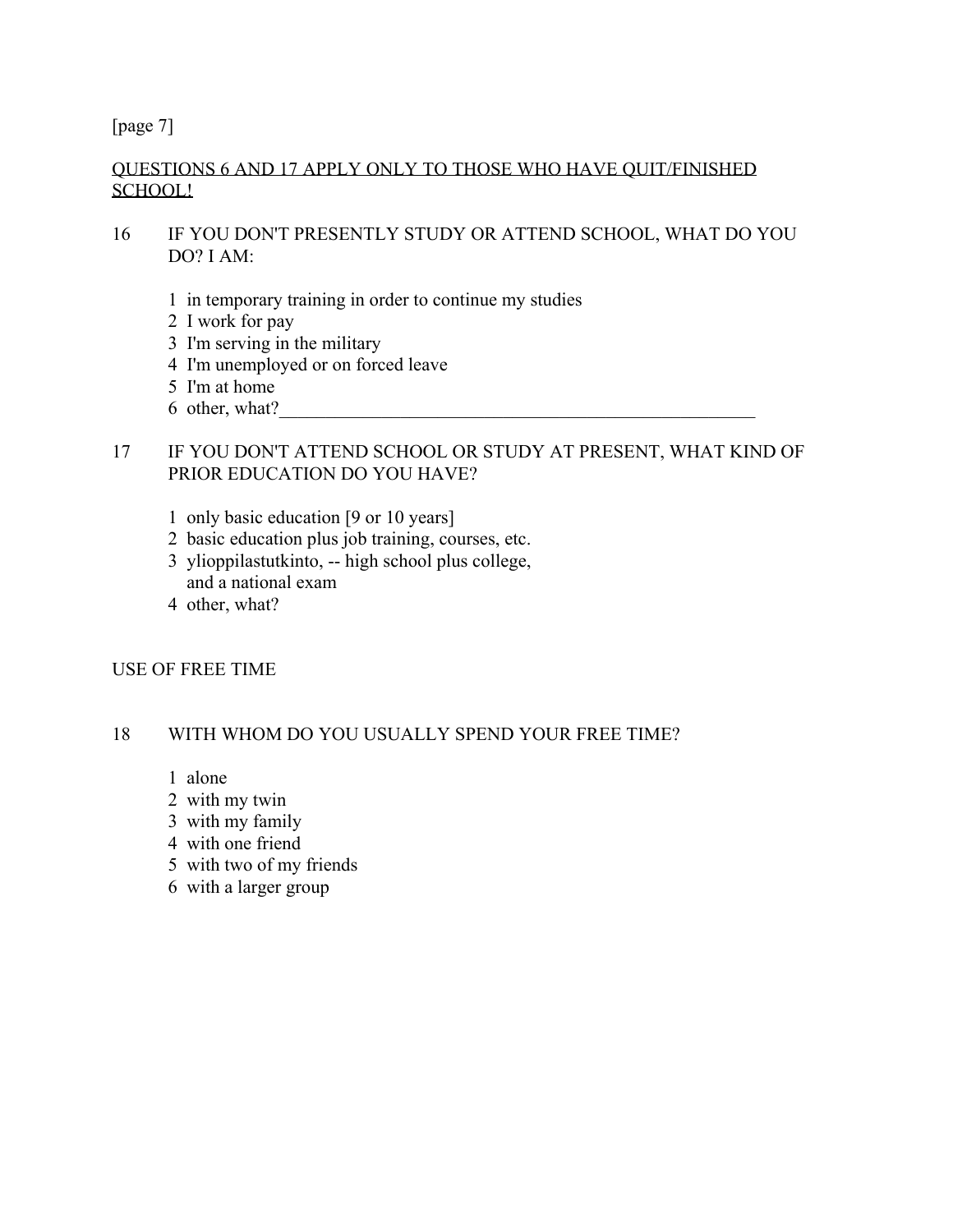[page 7]

## QUESTIONS 6 AND 17 APPLY ONLY TO THOSE WHO HAVE QUIT/FINISHED SCHOOL!

# 16 IF YOU DON'T PRESENTLY STUDY OR ATTEND SCHOOL, WHAT DO YOU DO? I AM:

- 1 in temporary training in order to continue my studies
- 2 I work for pay
- 3 I'm serving in the military
- 4 I'm unemployed or on forced leave
- 5 I'm at home
- 6 other, what?

#### 17 IF YOU DON'T ATTEND SCHOOL OR STUDY AT PRESENT, WHAT KIND OF PRIOR EDUCATION DO YOU HAVE?

- 1 only basic education [9 or 10 years]
- 2 basic education plus job training, courses, etc.
- 3 ylioppilastutkinto, -- high school plus college, and a national exam
- 4 other, what?

#### USE OF FREE TIME

#### 18 WITH WHOM DO YOU USUALLY SPEND YOUR FREE TIME?

- 1 alone
- 2 with my twin
- 3 with my family
- 4 with one friend
- 5 with two of my friends
- 6 with a larger group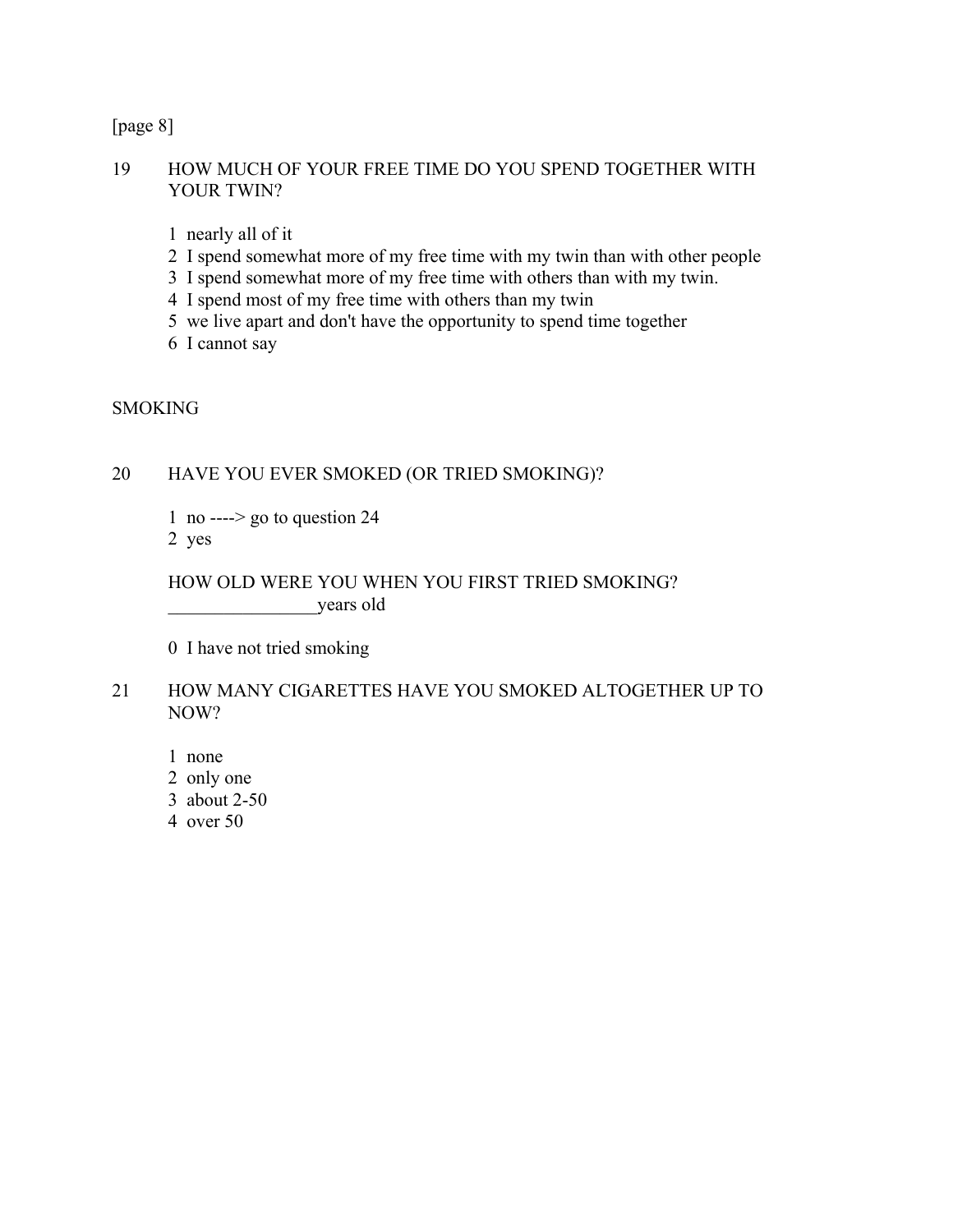[page 8]

#### 19 HOW MUCH OF YOUR FREE TIME DO YOU SPEND TOGETHER WITH YOUR TWIN?

- 1 nearly all of it
- 2 I spend somewhat more of my free time with my twin than with other people
- 3 I spend somewhat more of my free time with others than with my twin.
- 4 I spend most of my free time with others than my twin
- 5 we live apart and don't have the opportunity to spend time together
- 6 I cannot say

**SMOKING** 

## 20 HAVE YOU EVER SMOKED (OR TRIED SMOKING)?

 1 no ----> go to question 24 2 yes

## HOW OLD WERE YOU WHEN YOU FIRST TRIED SMOKING? \_\_\_\_\_\_\_\_\_\_\_\_\_\_\_\_years old

0 I have not tried smoking

#### 21 HOW MANY CIGARETTES HAVE YOU SMOKED ALTOGETHER UP TO NOW?

- 1 none
- 2 only one
- 3 about 2-50
- 4 over 50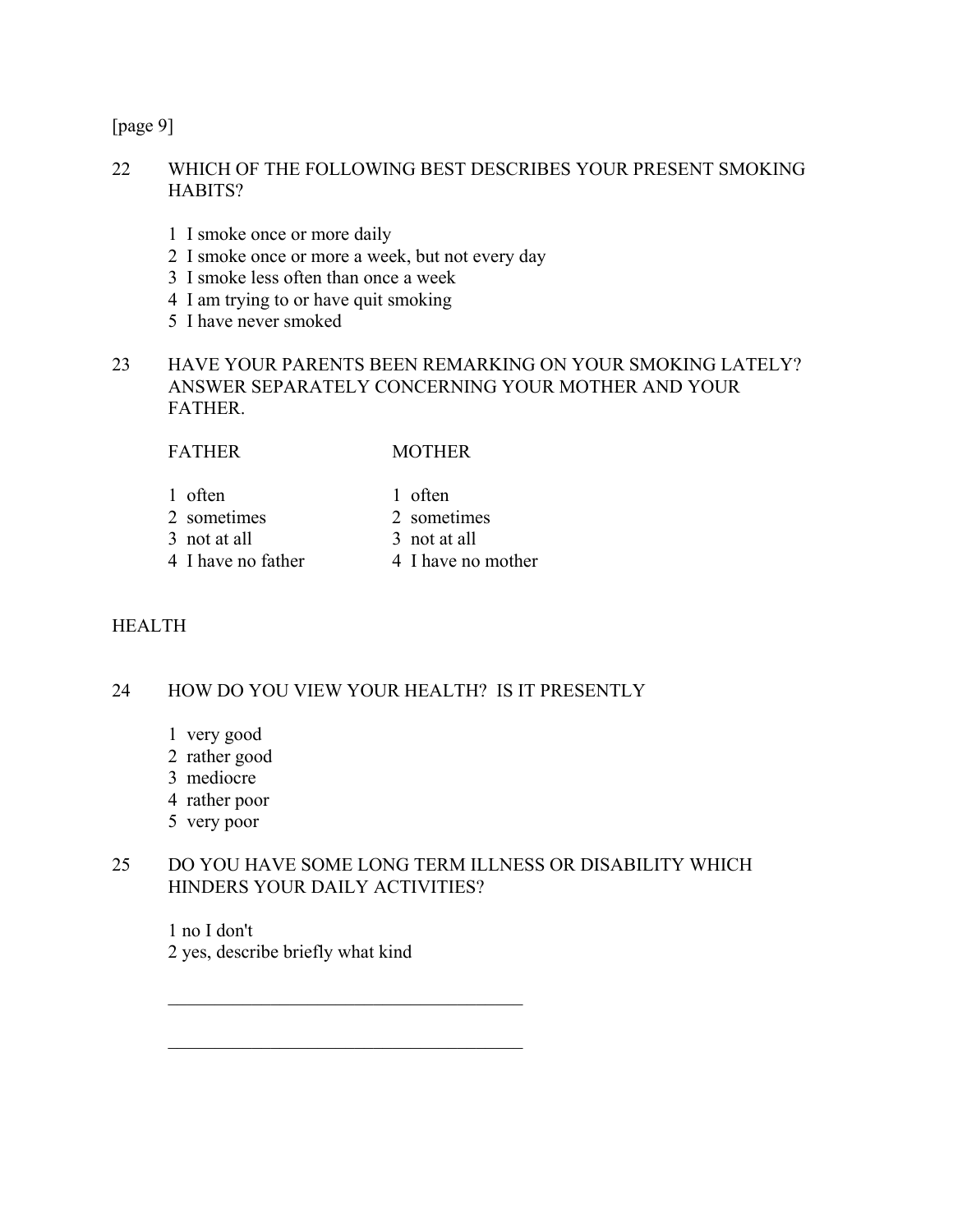[page 9]

#### 22 WHICH OF THE FOLLOWING BEST DESCRIBES YOUR PRESENT SMOKING HABITS?

- 1 I smoke once or more daily
- 2 I smoke once or more a week, but not every day
- 3 I smoke less often than once a week
- 4 I am trying to or have quit smoking
- 5 I have never smoked
- 23 HAVE YOUR PARENTS BEEN REMARKING ON YOUR SMOKING LATELY? ANSWER SEPARATELY CONCERNING YOUR MOTHER AND YOUR **FATHER**

#### FATHER MOTHER

- 1 often 1 often
- 2 sometimes 2 sometimes
	-
- 3 not at all 3 not at all
	- 4 I have no father 4 I have no mother
		-

## HEALTH

## 24 HOW DO YOU VIEW YOUR HEALTH? IS IT PRESENTLY

- 1 very good
- 2 rather good
- 3 mediocre
- 4 rather poor
- 5 very poor

## 25 DO YOU HAVE SOME LONG TERM ILLNESS OR DISABILITY WHICH HINDERS YOUR DAILY ACTIVITIES?

 1 no I don't 2 yes, describe briefly what kind

 $\mathcal{L}_\text{max}$  , and the set of the set of the set of the set of the set of the set of the set of the set of the set of the set of the set of the set of the set of the set of the set of the set of the set of the set of the

 $\mathcal{L}_\text{max}$  , and the set of the set of the set of the set of the set of the set of the set of the set of the set of the set of the set of the set of the set of the set of the set of the set of the set of the set of the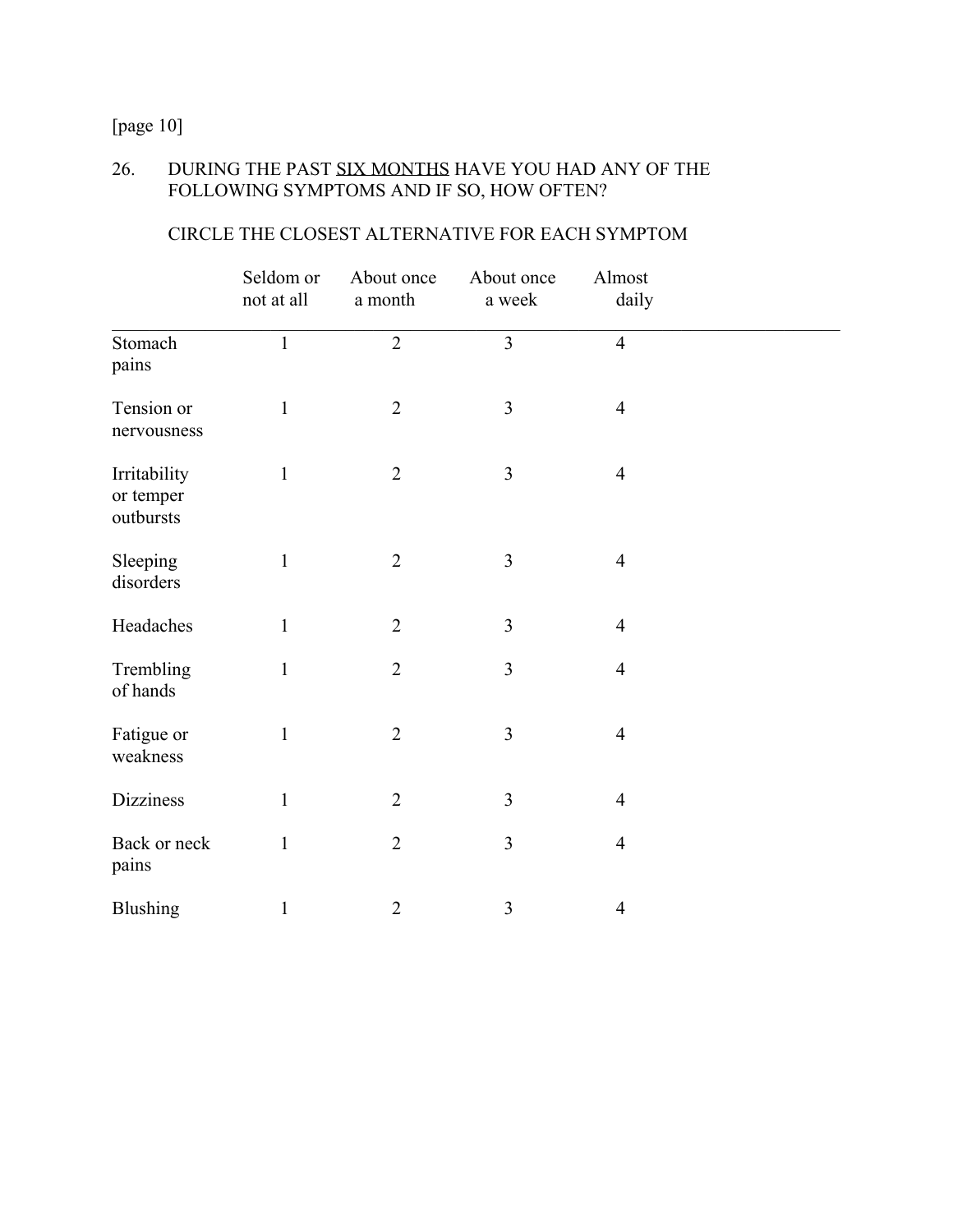[page 10]

# 26. DURING THE PAST SIX MONTHS HAVE YOU HAD ANY OF THE FOLLOWING SYMPTOMS AND IF SO, HOW OFTEN?

|                                        | Seldom or<br>not at all | About once<br>a month | About once<br>a week | Almost<br>daily |  |
|----------------------------------------|-------------------------|-----------------------|----------------------|-----------------|--|
| Stomach<br>pains                       | $\mathbf{1}$            | $\overline{2}$        | $\overline{3}$       | $\overline{4}$  |  |
| Tension or<br>nervousness              | $\mathbf{1}$            | $\overline{2}$        | $\overline{3}$       | $\overline{4}$  |  |
| Irritability<br>or temper<br>outbursts | $\mathbf{1}$            | $\overline{2}$        | $\mathfrak{Z}$       | $\overline{4}$  |  |
| Sleeping<br>disorders                  | $\mathbf{1}$            | $\overline{2}$        | $\mathfrak{Z}$       | $\overline{4}$  |  |
| Headaches                              | $\mathbf{1}$            | $\overline{2}$        | $\mathfrak{Z}$       | $\overline{4}$  |  |
| Trembling<br>of hands                  | $\mathbf{1}$            | $\overline{2}$        | $\overline{3}$       | $\overline{4}$  |  |
| Fatigue or<br>weakness                 | $\mathbf{1}$            | $\overline{2}$        | $\overline{3}$       | $\overline{4}$  |  |
| <b>Dizziness</b>                       | $\mathbf{1}$            | $\overline{2}$        | $\mathfrak{Z}$       | $\overline{4}$  |  |
| Back or neck<br>pains                  | $\mathbf{1}$            | $\overline{2}$        | $\overline{3}$       | $\overline{4}$  |  |
| <b>Blushing</b>                        | $\mathbf{1}$            | $\overline{2}$        | $\mathfrak{Z}$       | $\overline{4}$  |  |

# CIRCLE THE CLOSEST ALTERNATIVE FOR EACH SYMPTOM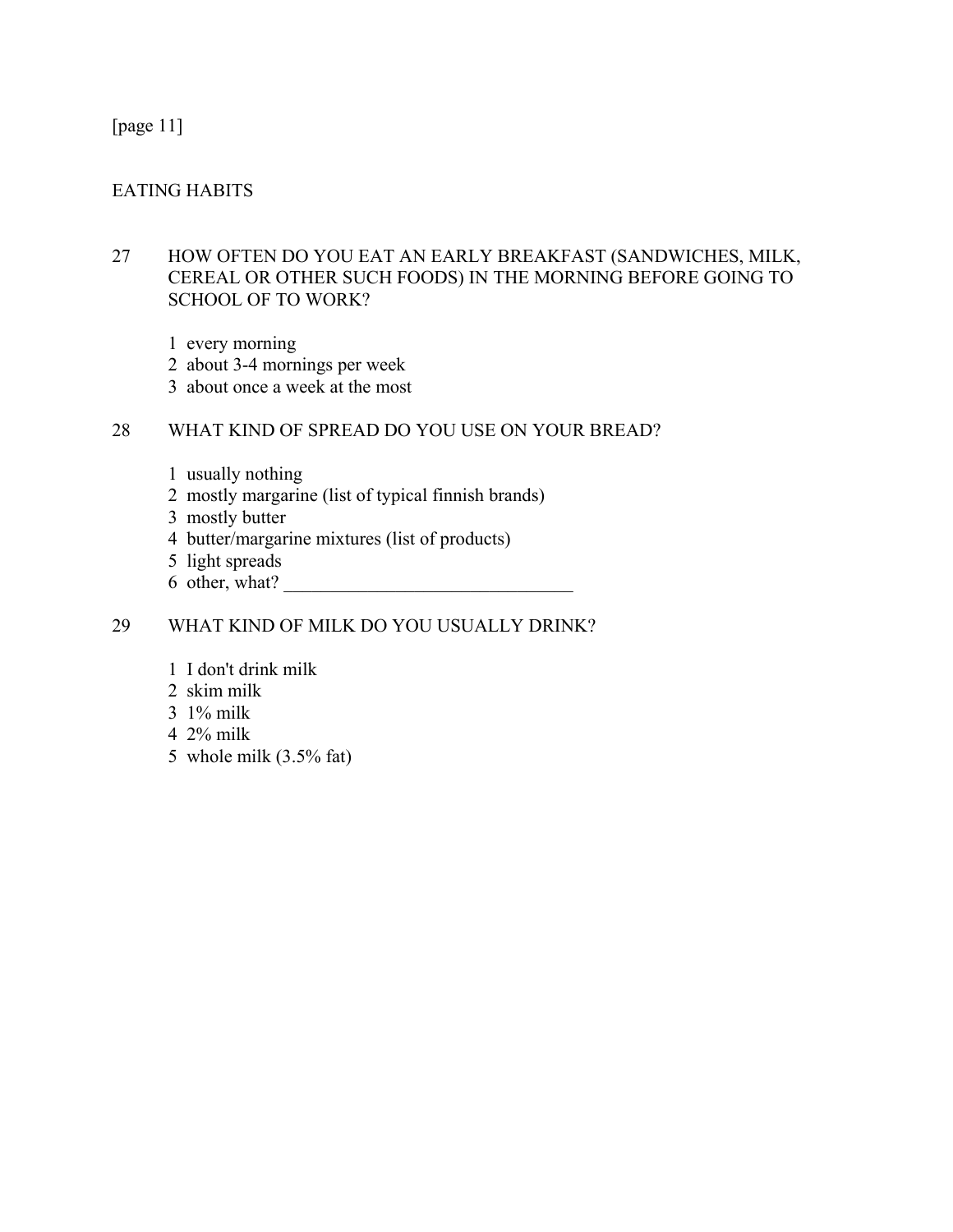## [page 11]

## EATING HABITS

## 27 HOW OFTEN DO YOU EAT AN EARLY BREAKFAST (SANDWICHES, MILK, CEREAL OR OTHER SUCH FOODS) IN THE MORNING BEFORE GOING TO SCHOOL OF TO WORK?

- 1 every morning
- 2 about 3-4 mornings per week
- 3 about once a week at the most

## 28 WHAT KIND OF SPREAD DO YOU USE ON YOUR BREAD?

- 1 usually nothing
- 2 mostly margarine (list of typical finnish brands)
- 3 mostly butter
- 4 butter/margarine mixtures (list of products)
- 5 light spreads
- $6$  other, what?

## 29 WHAT KIND OF MILK DO YOU USUALLY DRINK?

- 1 I don't drink milk
- 2 skim milk
- 3 1% milk
- 4 2% milk
- 5 whole milk (3.5% fat)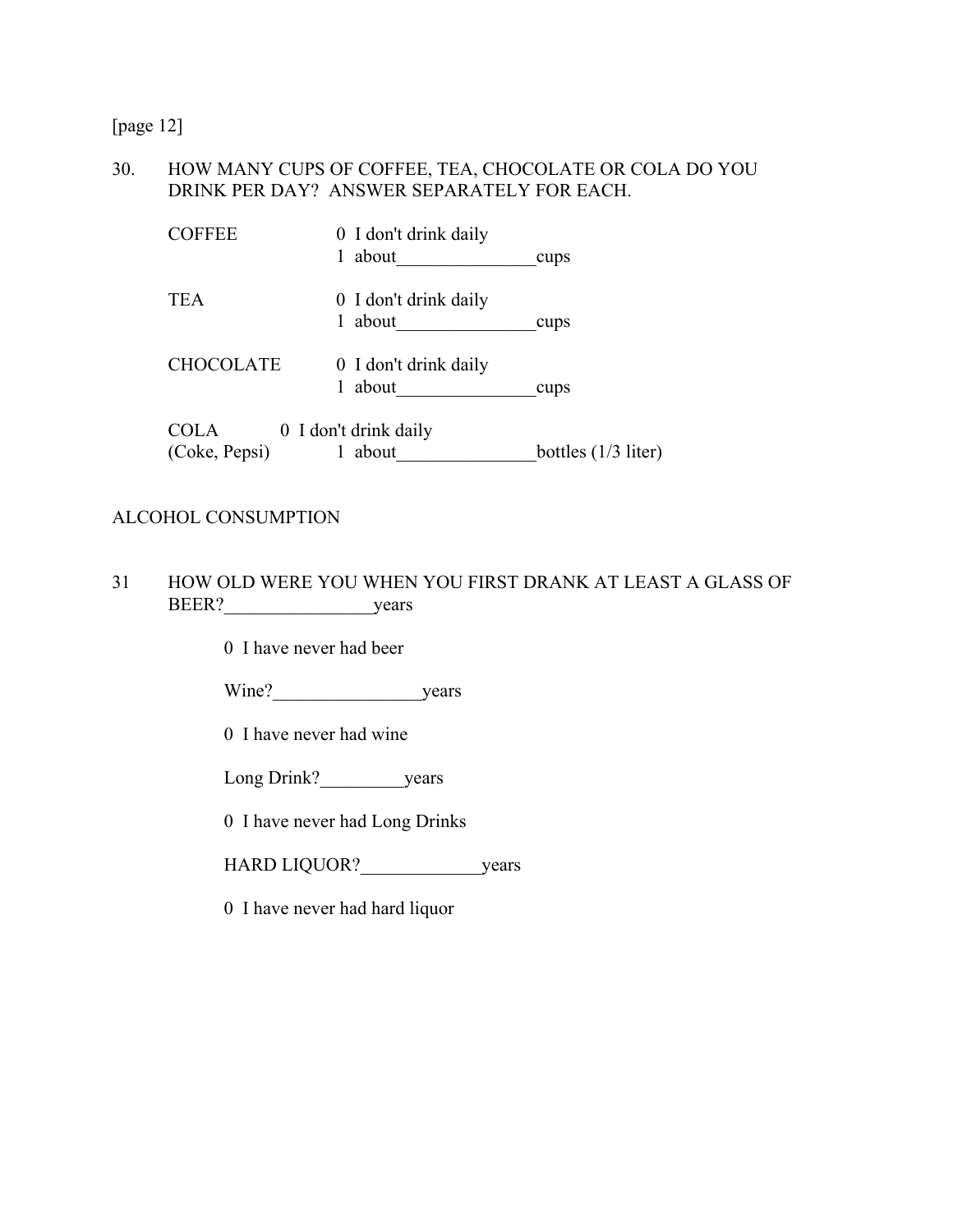[page 12]

## 30. HOW MANY CUPS OF COFFEE, TEA, CHOCOLATE OR COLA DO YOU DRINK PER DAY? ANSWER SEPARATELY FOR EACH.

| <b>COFFEE</b>         | 0 I don't drink daily<br>about<br>1 | cups                  |
|-----------------------|-------------------------------------|-----------------------|
| <b>TEA</b>            | 0 I don't drink daily<br>about<br>1 | cups                  |
| <b>CHOCOLATE</b>      | 0 I don't drink daily<br>about      | cups                  |
| COLA<br>(Coke, Pepsi) | 0 I don't drink daily<br>about      | bottles $(1/3$ liter) |

#### ALCOHOL CONSUMPTION

31 HOW OLD WERE YOU WHEN YOU FIRST DRANK AT LEAST A GLASS OF BEER? years

0 I have never had beer

Wine?\_\_\_\_\_\_\_\_\_\_\_\_\_\_\_\_years

0 I have never had wine

Long Drink? years

0 I have never had Long Drinks

HARD LIQUOR? vears

0 I have never had hard liquor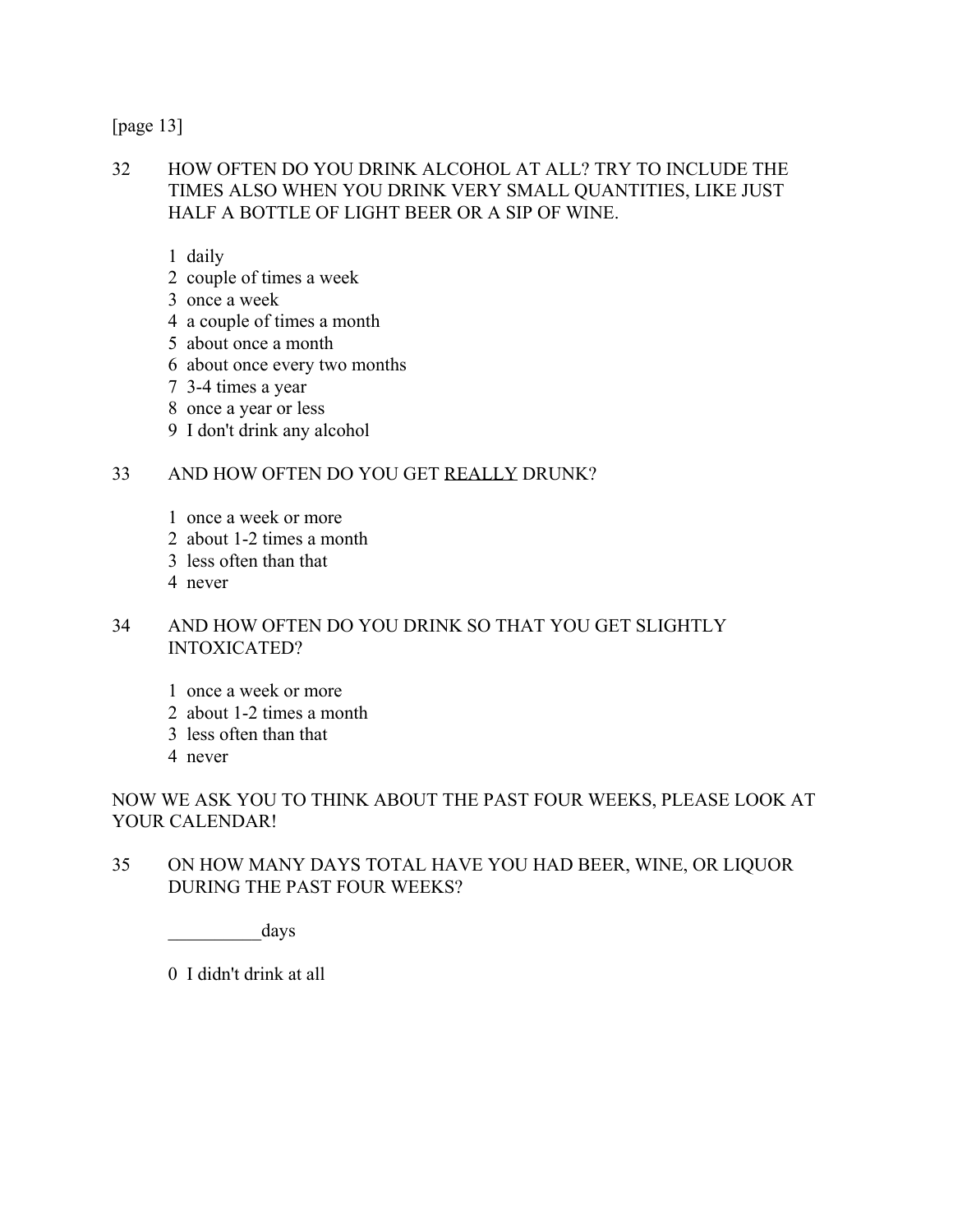[page 13]

32 HOW OFTEN DO YOU DRINK ALCOHOL AT ALL? TRY TO INCLUDE THE TIMES ALSO WHEN YOU DRINK VERY SMALL QUANTITIES, LIKE JUST HALF A BOTTLE OF LIGHT BEER OR A SIP OF WINE.

1 daily

- 2 couple of times a week
- 3 once a week
- 4 a couple of times a month
- 5 about once a month
- 6 about once every two months
- 7 3-4 times a year
- 8 once a year or less
- 9 I don't drink any alcohol

#### 33 AND HOW OFTEN DO YOU GET REALLY DRUNK?

- 1 once a week or more
- 2 about 1-2 times a month
- 3 less often than that
- 4 never

## 34 AND HOW OFTEN DO YOU DRINK SO THAT YOU GET SLIGHTLY INTOXICATED?

- 1 once a week or more
- 2 about 1-2 times a month
- 3 less often than that
- 4 never

# NOW WE ASK YOU TO THINK ABOUT THE PAST FOUR WEEKS, PLEASE LOOK AT YOUR CALENDAR!

35 ON HOW MANY DAYS TOTAL HAVE YOU HAD BEER, WINE, OR LIQUOR DURING THE PAST FOUR WEEKS?

days

0 I didn't drink at all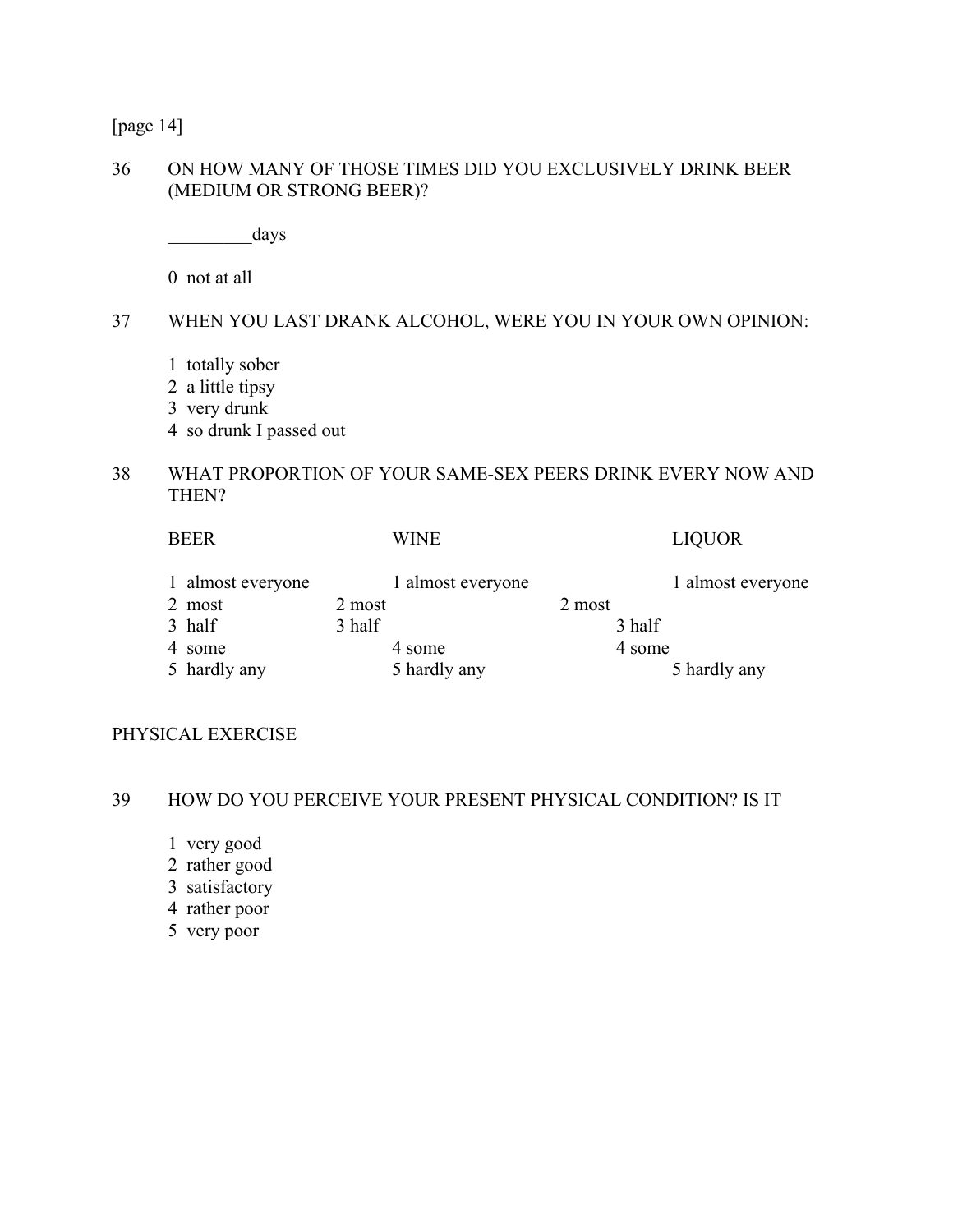[page 14]

#### 36 ON HOW MANY OF THOSE TIMES DID YOU EXCLUSIVELY DRINK BEER (MEDIUM OR STRONG BEER)?

days

0 not at all

#### 37 WHEN YOU LAST DRANK ALCOHOL, WERE YOU IN YOUR OWN OPINION:

- 1 totally sober
- 2 a little tipsy
- 3 very drunk
- 4 so drunk I passed out

# 38 WHAT PROPORTION OF YOUR SAME-SEX PEERS DRINK EVERY NOW AND THEN?

| 1 almost everyone<br>1 almost everyone<br>2 most<br>2 most<br>2 most<br>3 half<br>3 half<br>3 half<br>4 some<br>4 some<br>4 some<br>5 hardly any<br>5 hardly any<br>5 hardly any | <b>BEER</b> | <b>WINE</b> | <b>LIQUOR</b>     |
|----------------------------------------------------------------------------------------------------------------------------------------------------------------------------------|-------------|-------------|-------------------|
|                                                                                                                                                                                  |             |             | 1 almost everyone |
|                                                                                                                                                                                  |             |             |                   |
|                                                                                                                                                                                  |             |             |                   |
|                                                                                                                                                                                  |             |             |                   |
|                                                                                                                                                                                  |             |             |                   |

#### PHYSICAL EXERCISE

#### 39 HOW DO YOU PERCEIVE YOUR PRESENT PHYSICAL CONDITION? IS IT

- 1 very good
- 2 rather good
- 3 satisfactory
- 4 rather poor
- 5 very poor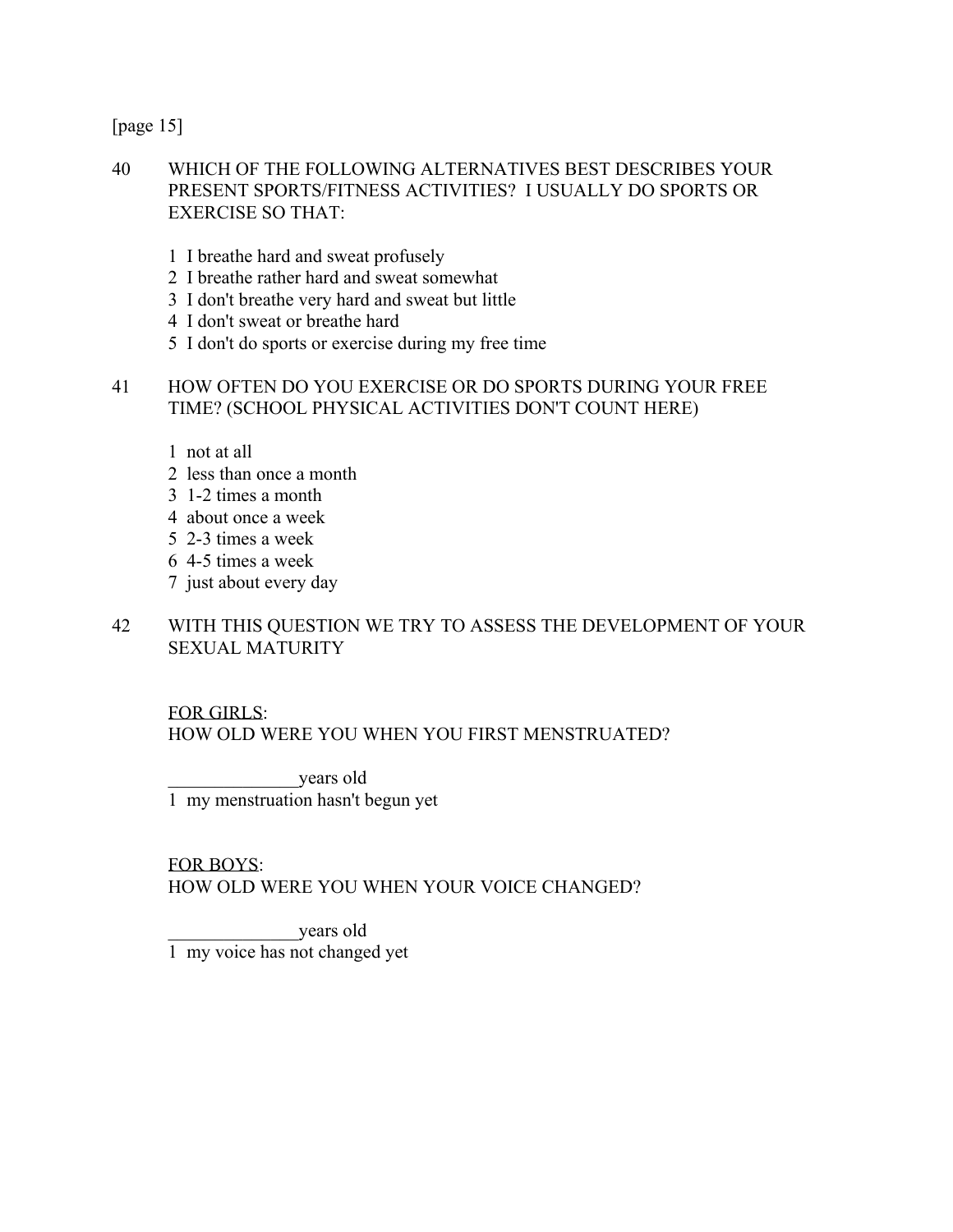[page 15]

## 40 WHICH OF THE FOLLOWING ALTERNATIVES BEST DESCRIBES YOUR PRESENT SPORTS/FITNESS ACTIVITIES? I USUALLY DO SPORTS OR EXERCISE SO THAT:

- 1 I breathe hard and sweat profusely
- 2 I breathe rather hard and sweat somewhat
- 3 I don't breathe very hard and sweat but little
- 4 I don't sweat or breathe hard
- 5 I don't do sports or exercise during my free time

#### 41 HOW OFTEN DO YOU EXERCISE OR DO SPORTS DURING YOUR FREE TIME? (SCHOOL PHYSICAL ACTIVITIES DON'T COUNT HERE)

- 1 not at all
- 2 less than once a month
- 3 1-2 times a month
- 4 about once a week
- 5 2-3 times a week
- 6 4-5 times a week
- 7 just about every day

## 42 WITH THIS QUESTION WE TRY TO ASSESS THE DEVELOPMENT OF YOUR SEXUAL MATURITY

## FOR GIRLS:

HOW OLD WERE YOU WHEN YOU FIRST MENSTRUATED?

 \_\_\_\_\_\_\_\_\_\_\_\_\_\_years old 1 my menstruation hasn't begun yet

FOR BOYS:

HOW OLD WERE YOU WHEN YOUR VOICE CHANGED?

 \_\_\_\_\_\_\_\_\_\_\_\_\_\_years old 1 my voice has not changed yet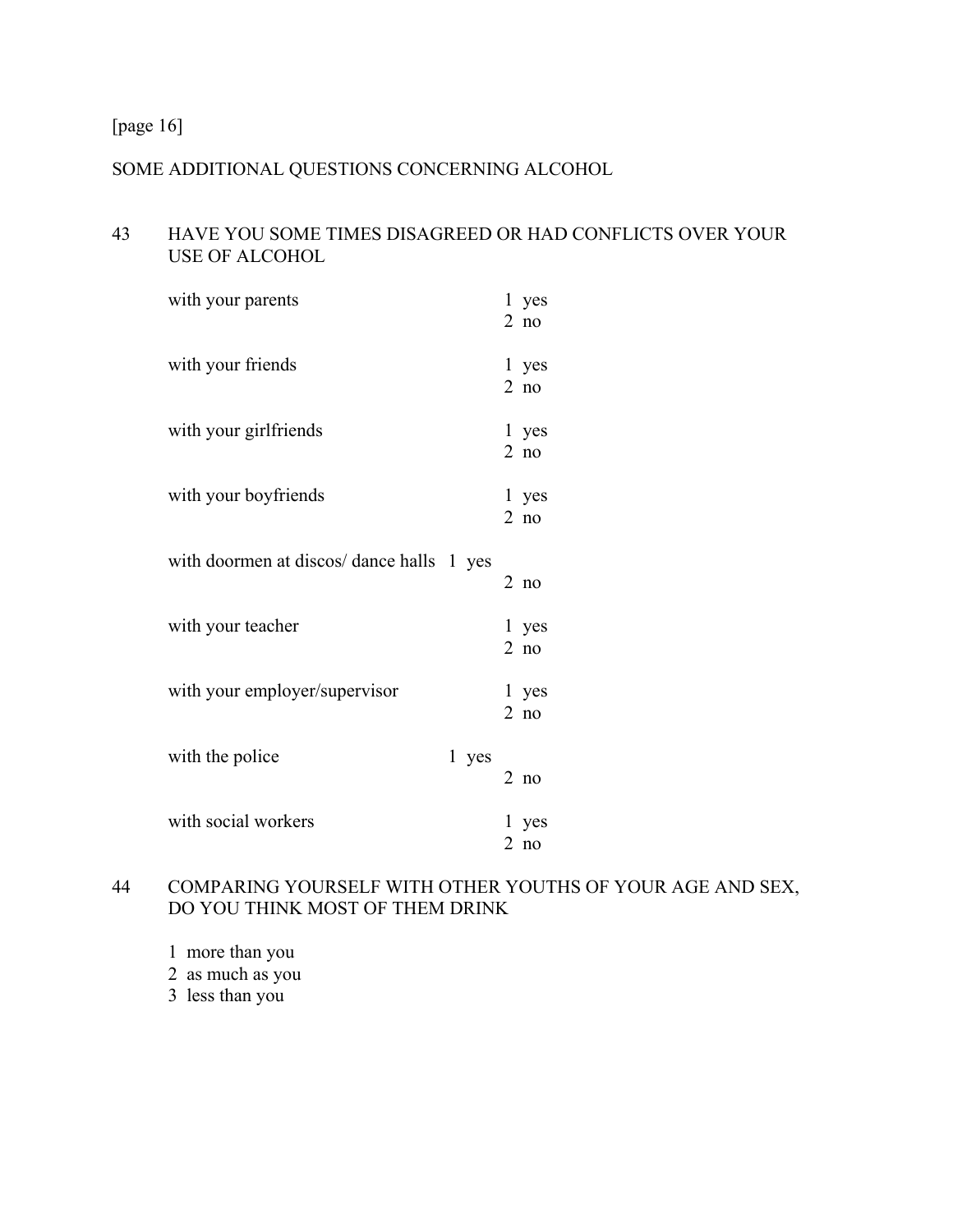[page 16]

# SOME ADDITIONAL QUESTIONS CONCERNING ALCOHOL

# 43 HAVE YOU SOME TIMES DISAGREED OR HAD CONFLICTS OVER YOUR USE OF ALCOHOL

| with your parents                         |       | 1 yes<br>$2$ no |
|-------------------------------------------|-------|-----------------|
| with your friends                         |       | 1 yes<br>$2$ no |
| with your girlfriends                     |       | 1 yes<br>$2$ no |
| with your boyfriends                      |       | 1 yes<br>$2$ no |
| with doormen at discos/ dance halls 1 yes |       | $2$ no          |
| with your teacher                         |       | 1 yes<br>$2$ no |
| with your employer/supervisor             |       | 1 yes<br>$2$ no |
| with the police                           | 1 yes | $2$ no          |
| with social workers                       |       | 1 yes<br>$2$ no |

# 44 COMPARING YOURSELF WITH OTHER YOUTHS OF YOUR AGE AND SEX, DO YOU THINK MOST OF THEM DRINK

1 more than you

2 as much as you

3 less than you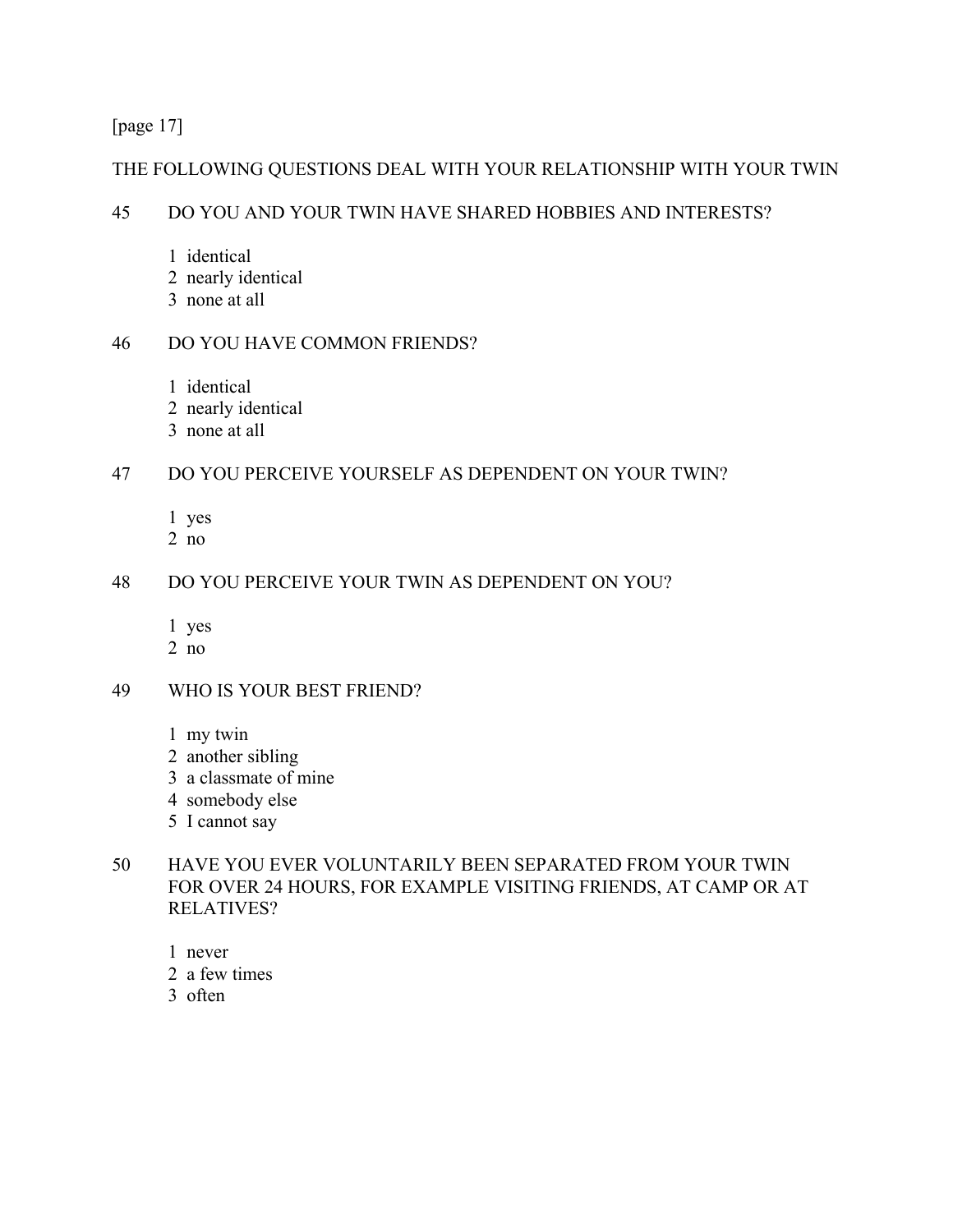[page 17]

## THE FOLLOWING QUESTIONS DEAL WITH YOUR RELATIONSHIP WITH YOUR TWIN

## 45 DO YOU AND YOUR TWIN HAVE SHARED HOBBIES AND INTERESTS?

- 1 identical
- 2 nearly identical
- 3 none at all

# 46 DO YOU HAVE COMMON FRIENDS?

- 1 identical
- 2 nearly identical
- 3 none at all

# 47 DO YOU PERCEIVE YOURSELF AS DEPENDENT ON YOUR TWIN?

- 1 yes
- 2 no

# 48 DO YOU PERCEIVE YOUR TWIN AS DEPENDENT ON YOU?

- 1 yes
- 2 no

## 49 WHO IS YOUR BEST FRIEND?

- 1 my twin
- 2 another sibling
- 3 a classmate of mine
- 4 somebody else
- 5 I cannot say

# 50 HAVE YOU EVER VOLUNTARILY BEEN SEPARATED FROM YOUR TWIN FOR OVER 24 HOURS, FOR EXAMPLE VISITING FRIENDS, AT CAMP OR AT RELATIVES?

- 1 never
- 2 a few times
- 3 often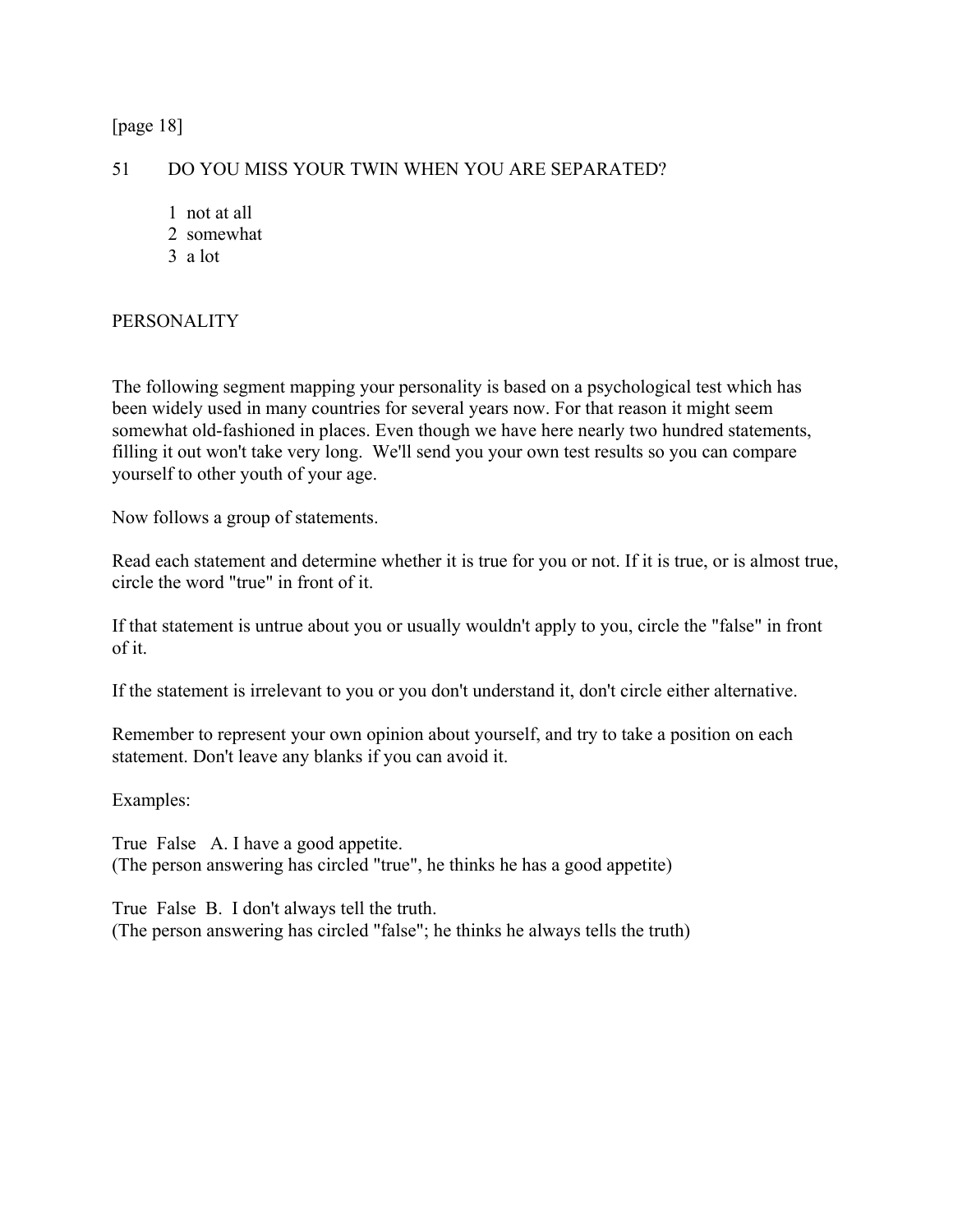[page 18]

#### 51 DO YOU MISS YOUR TWIN WHEN YOU ARE SEPARATED?

- 1 not at all
- 2 somewhat
- 3 a lot

## PERSONALITY

The following segment mapping your personality is based on a psychological test which has been widely used in many countries for several years now. For that reason it might seem somewhat old-fashioned in places. Even though we have here nearly two hundred statements, filling it out won't take very long. We'll send you your own test results so you can compare yourself to other youth of your age.

Now follows a group of statements.

Read each statement and determine whether it is true for you or not. If it is true, or is almost true, circle the word "true" in front of it.

If that statement is untrue about you or usually wouldn't apply to you, circle the "false" in front of it.

If the statement is irrelevant to you or you don't understand it, don't circle either alternative.

Remember to represent your own opinion about yourself, and try to take a position on each statement. Don't leave any blanks if you can avoid it.

Examples:

True False A. I have a good appetite. (The person answering has circled "true", he thinks he has a good appetite)

True False B. I don't always tell the truth. (The person answering has circled "false"; he thinks he always tells the truth)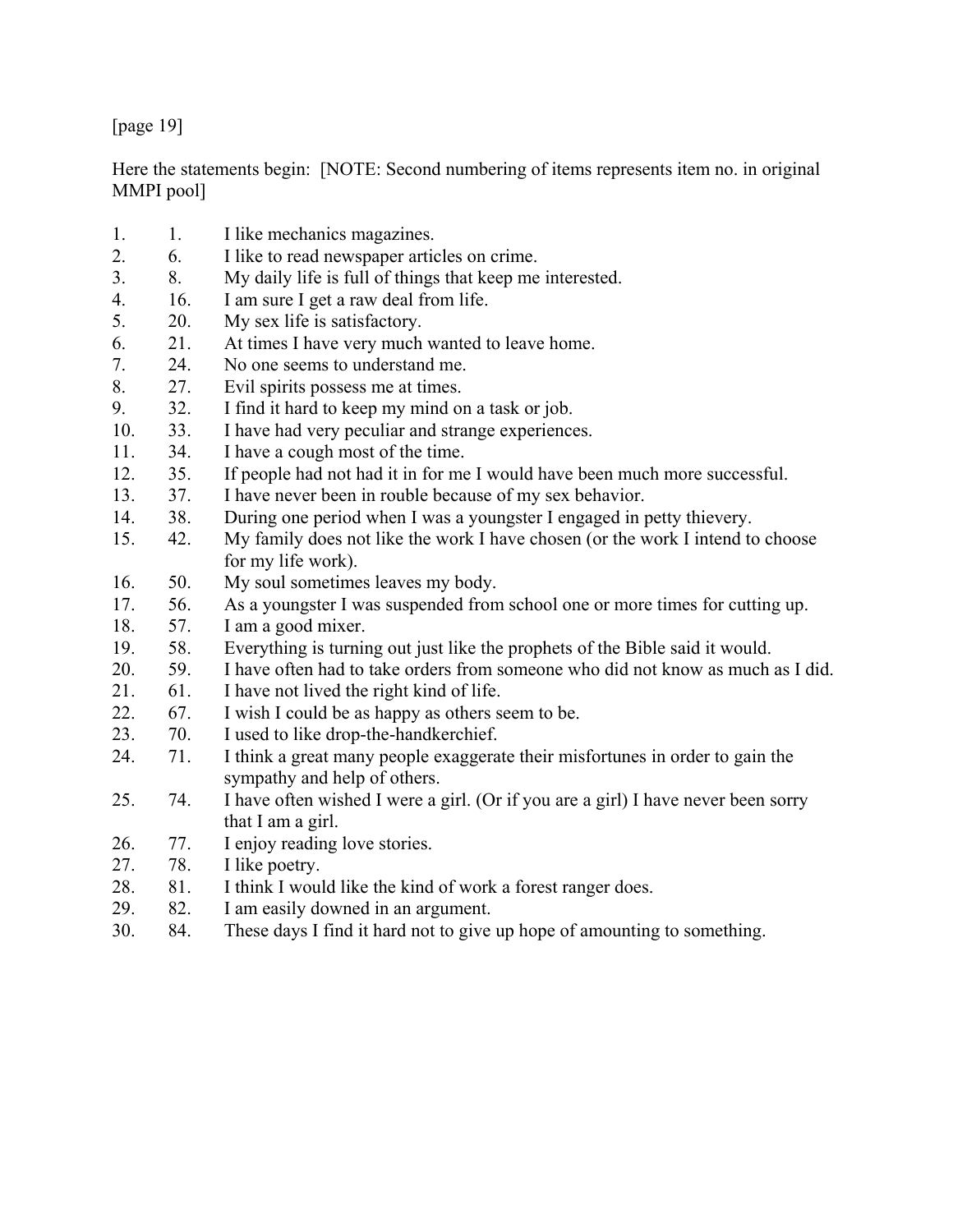[page 19]

Here the statements begin: [NOTE: Second numbering of items represents item no. in original MMPI pool]

1. 1. I like mechanics magazines. 2. 6. I like to read newspaper articles on crime. 3. 8. My daily life is full of things that keep me interested. 4. 16. I am sure I get a raw deal from life. 5. 20. My sex life is satisfactory. 6. 21. At times I have very much wanted to leave home. 7. 24. No one seems to understand me. 8. 27. Evil spirits possess me at times. 9. 32. I find it hard to keep my mind on a task or job. 10. 33. I have had very peculiar and strange experiences. 11. 34. I have a cough most of the time. 12. 35. If people had not had it in for me I would have been much more successful. 13. 37. I have never been in rouble because of my sex behavior. 14. 38. During one period when I was a youngster I engaged in petty thievery. 15. 42. My family does not like the work I have chosen (or the work I intend to choose for my life work). 16. 50. My soul sometimes leaves my body. 17. 56. As a youngster I was suspended from school one or more times for cutting up. 18. 57. I am a good mixer. 19. 58. Everything is turning out just like the prophets of the Bible said it would. 20. 59. I have often had to take orders from someone who did not know as much as I did. 21. 61. I have not lived the right kind of life. 22. 67. I wish I could be as happy as others seem to be. 23. 70. I used to like drop-the-handkerchief. 24. 71. I think a great many people exaggerate their misfortunes in order to gain the sympathy and help of others. 25. 74. I have often wished I were a girl. (Or if you are a girl) I have never been sorry that I am a girl. 26. 77. I enjoy reading love stories. 27. 78. I like poetry. 28. 81. I think I would like the kind of work a forest ranger does. 29. 82. I am easily downed in an argument. 30. 84. These days I find it hard not to give up hope of amounting to something.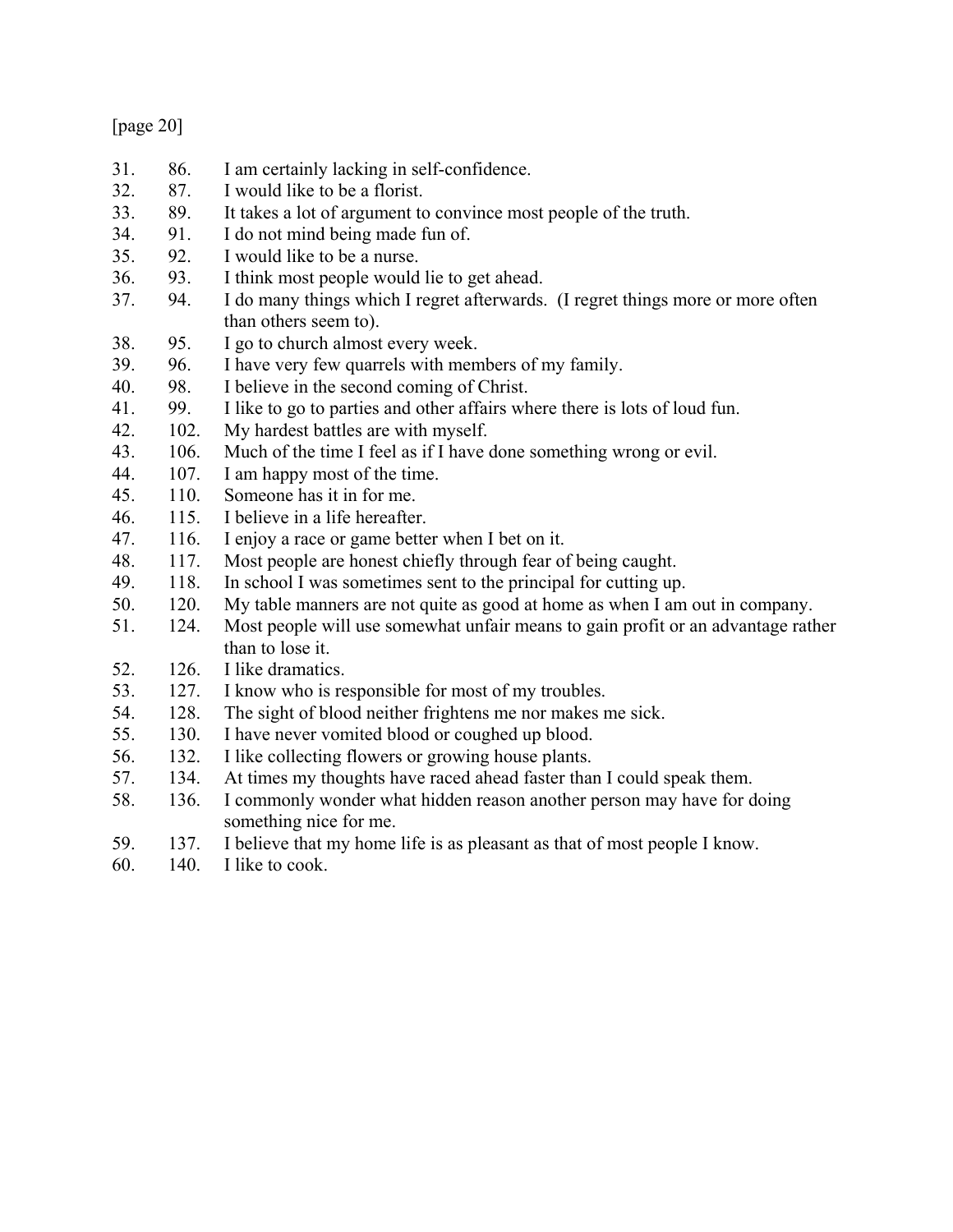| nage |  |
|------|--|
|------|--|

- 31. 86. I am certainly lacking in self-confidence.
- 32. 87. I would like to be a florist.
- 33. 89. It takes a lot of argument to convince most people of the truth.
- 34. 91. I do not mind being made fun of.
- 35. 92. I would like to be a nurse.
- 36. 93. I think most people would lie to get ahead.
- 37. 94. I do many things which I regret afterwards. (I regret things more or more often than others seem to).
- 38. 95. I go to church almost every week.
- 39. 96. I have very few quarrels with members of my family.
- 40. 98. I believe in the second coming of Christ.
- 41. 99. I like to go to parties and other affairs where there is lots of loud fun.
- 42. 102. My hardest battles are with myself.
- 43. 106. Much of the time I feel as if I have done something wrong or evil.
- 44. 107. I am happy most of the time.
- 45. 110. Someone has it in for me.
- 46. 115. I believe in a life hereafter.
- 47. 116. I enjoy a race or game better when I bet on it.
- 48. 117. Most people are honest chiefly through fear of being caught.
- 49. 118. In school I was sometimes sent to the principal for cutting up.
- 50. 120. My table manners are not quite as good at home as when I am out in company.
- 51. 124. Most people will use somewhat unfair means to gain profit or an advantage rather than to lose it.
- 52. 126. I like dramatics.
- 53. 127. I know who is responsible for most of my troubles.
- 54. 128. The sight of blood neither frightens me nor makes me sick.
- 55. 130. I have never vomited blood or coughed up blood.
- 56. 132. I like collecting flowers or growing house plants.
- 57. 134. At times my thoughts have raced ahead faster than I could speak them.
- 58. 136. I commonly wonder what hidden reason another person may have for doing something nice for me.
- 59. 137. I believe that my home life is as pleasant as that of most people I know.
- 60. 140. I like to cook.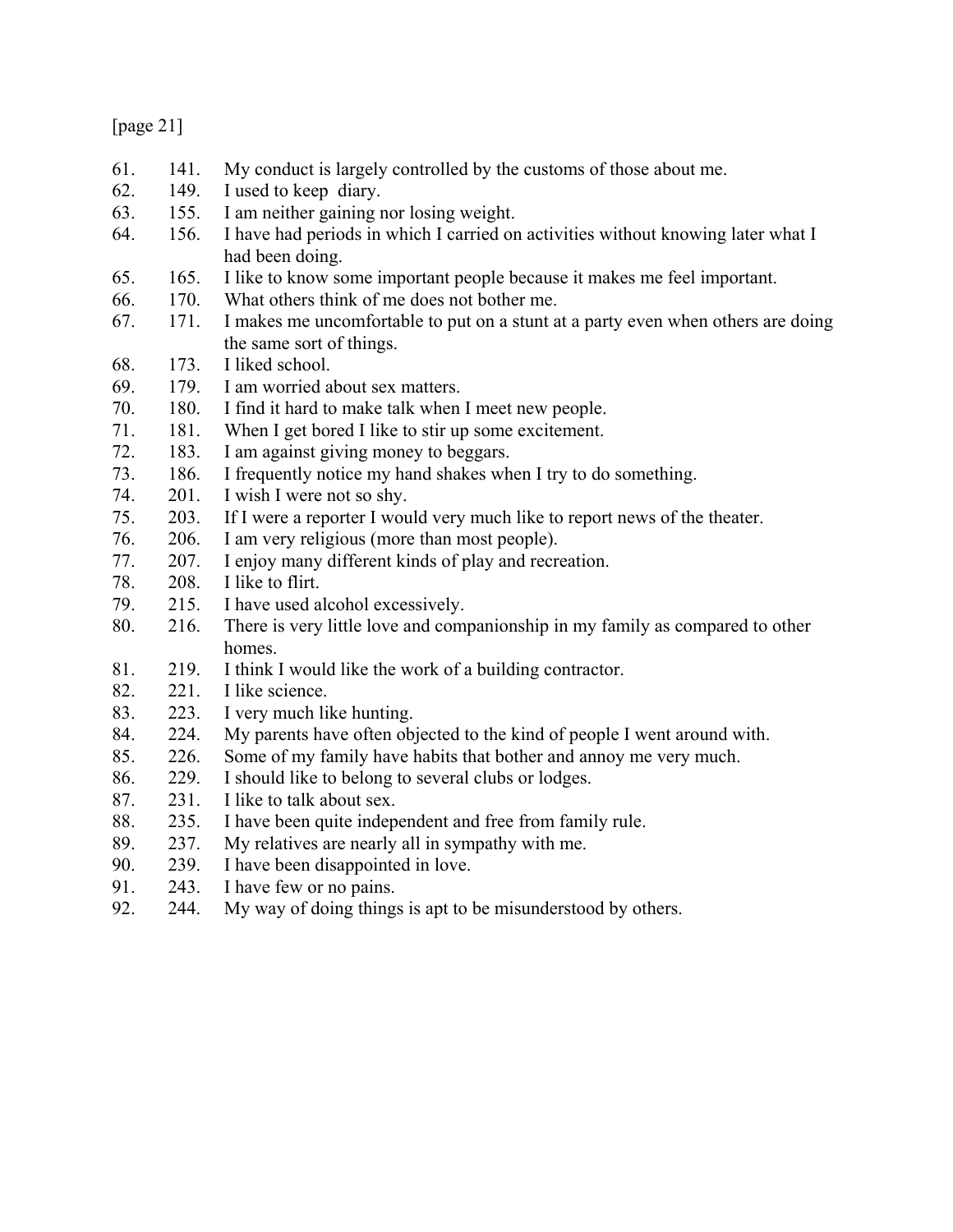| пяя |  |  |
|-----|--|--|
|-----|--|--|

| 61. | 141. | My conduct is largely controlled by the customs of those about me.               |
|-----|------|----------------------------------------------------------------------------------|
| 62. | 149. | I used to keep diary.                                                            |
| 63. | 155. | I am neither gaining nor losing weight.                                          |
| 64. | 156. | I have had periods in which I carried on activities without knowing later what I |
|     |      | had been doing.                                                                  |
| 65. | 165. | I like to know some important people because it makes me feel important.         |
| 66. | 170. | What others think of me does not bother me.                                      |
| 67. | 171. | I makes me uncomfortable to put on a stunt at a party even when others are doing |
|     |      | the same sort of things.                                                         |
| 68. | 173. | I liked school.                                                                  |
| 69. | 179. | I am worried about sex matters.                                                  |
| 70. | 180. | I find it hard to make talk when I meet new people.                              |
| 71. | 181. | When I get bored I like to stir up some excitement.                              |
| 72. | 183. | I am against giving money to beggars.                                            |
| 73. | 186. | I frequently notice my hand shakes when I try to do something.                   |
| 74. | 201. | I wish I were not so shy.                                                        |
| 75. | 203. | If I were a reporter I would very much like to report news of the theater.       |
| 76. | 206. | I am very religious (more than most people).                                     |
| 77. | 207. | I enjoy many different kinds of play and recreation.                             |
| 78. | 208. | I like to flirt.                                                                 |
| 79. | 215. | I have used alcohol excessively.                                                 |
| 80. | 216. | There is very little love and companionship in my family as compared to other    |
|     |      | homes.                                                                           |
| 81. | 219. | I think I would like the work of a building contractor.                          |
| 82. | 221. | I like science.                                                                  |
| 83. | 223. | I very much like hunting.                                                        |
| 84. | 224. | My parents have often objected to the kind of people I went around with.         |
| 85. | 226. | Some of my family have habits that bother and annoy me very much.                |
| 86. | 229. | I should like to belong to several clubs or lodges.                              |
| 87. | 231. | I like to talk about sex.                                                        |
| 88. | 235. | I have been quite independent and free from family rule.                         |
| 89. | 237. | My relatives are nearly all in sympathy with me.                                 |
| 90. | 239. | I have been disappointed in love.                                                |
| 91. | 243. | I have few or no pains.                                                          |
| 92. | 244. | My way of doing things is apt to be misunderstood by others.                     |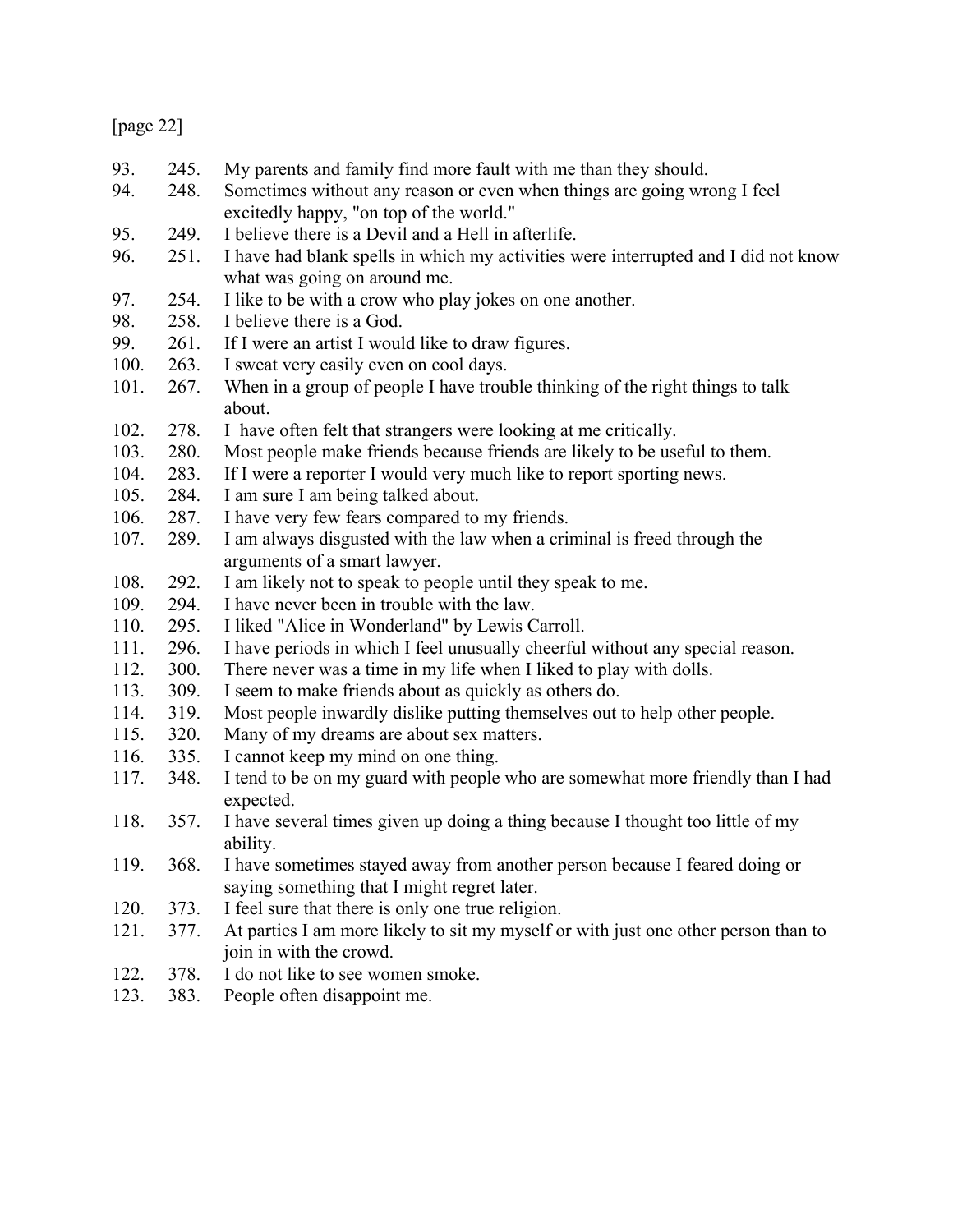| nao |  |
|-----|--|
|-----|--|

| 93.  | 245. | My parents and family find more fault with me than they should.                    |
|------|------|------------------------------------------------------------------------------------|
| 94.  | 248. | Sometimes without any reason or even when things are going wrong I feel            |
|      |      | excitedly happy, "on top of the world."                                            |
| 95.  | 249. | I believe there is a Devil and a Hell in afterlife.                                |
| 96.  | 251. | I have had blank spells in which my activities were interrupted and I did not know |
|      |      | what was going on around me.                                                       |
| 97.  | 254. | I like to be with a crow who play jokes on one another.                            |
| 98.  | 258. | I believe there is a God.                                                          |
| 99.  | 261. | If I were an artist I would like to draw figures.                                  |
| 100. | 263. | I sweat very easily even on cool days.                                             |
| 101. | 267. | When in a group of people I have trouble thinking of the right things to talk      |
|      |      | about.                                                                             |
| 102. | 278. | I have often felt that strangers were looking at me critically.                    |
| 103. | 280. | Most people make friends because friends are likely to be useful to them.          |
| 104. | 283. | If I were a reporter I would very much like to report sporting news.               |
| 105. | 284. | I am sure I am being talked about.                                                 |
| 106. | 287. | I have very few fears compared to my friends.                                      |
| 107. | 289. | I am always disgusted with the law when a criminal is freed through the            |
|      |      | arguments of a smart lawyer.                                                       |
| 108. | 292. | I am likely not to speak to people until they speak to me.                         |
| 109. | 294. | I have never been in trouble with the law.                                         |
| 110. | 295. | I liked "Alice in Wonderland" by Lewis Carroll.                                    |
| 111. | 296. | I have periods in which I feel unusually cheerful without any special reason.      |
| 112. | 300. | There never was a time in my life when I liked to play with dolls.                 |
| 113. | 309. | I seem to make friends about as quickly as others do.                              |
| 114. | 319. | Most people inwardly dislike putting themselves out to help other people.          |
| 115. | 320. | Many of my dreams are about sex matters.                                           |
| 116. | 335. | I cannot keep my mind on one thing.                                                |
| 117. | 348. | I tend to be on my guard with people who are somewhat more friendly than I had     |
|      |      | expected.                                                                          |
| 118. | 357. | I have several times given up doing a thing because I thought too little of my     |
|      |      | ability.                                                                           |
| 119. | 368. | I have sometimes stayed away from another person because I feared doing or         |
|      |      | saying something that I might regret later.                                        |
| 120. | 373. | I feel sure that there is only one true religion.                                  |
| 121. | 377. | At parties I am more likely to sit my myself or with just one other person than to |
|      |      | join in with the crowd.                                                            |
| 122. | 378. | I do not like to see women smoke.                                                  |
| 123. | 383. | People often disappoint me.                                                        |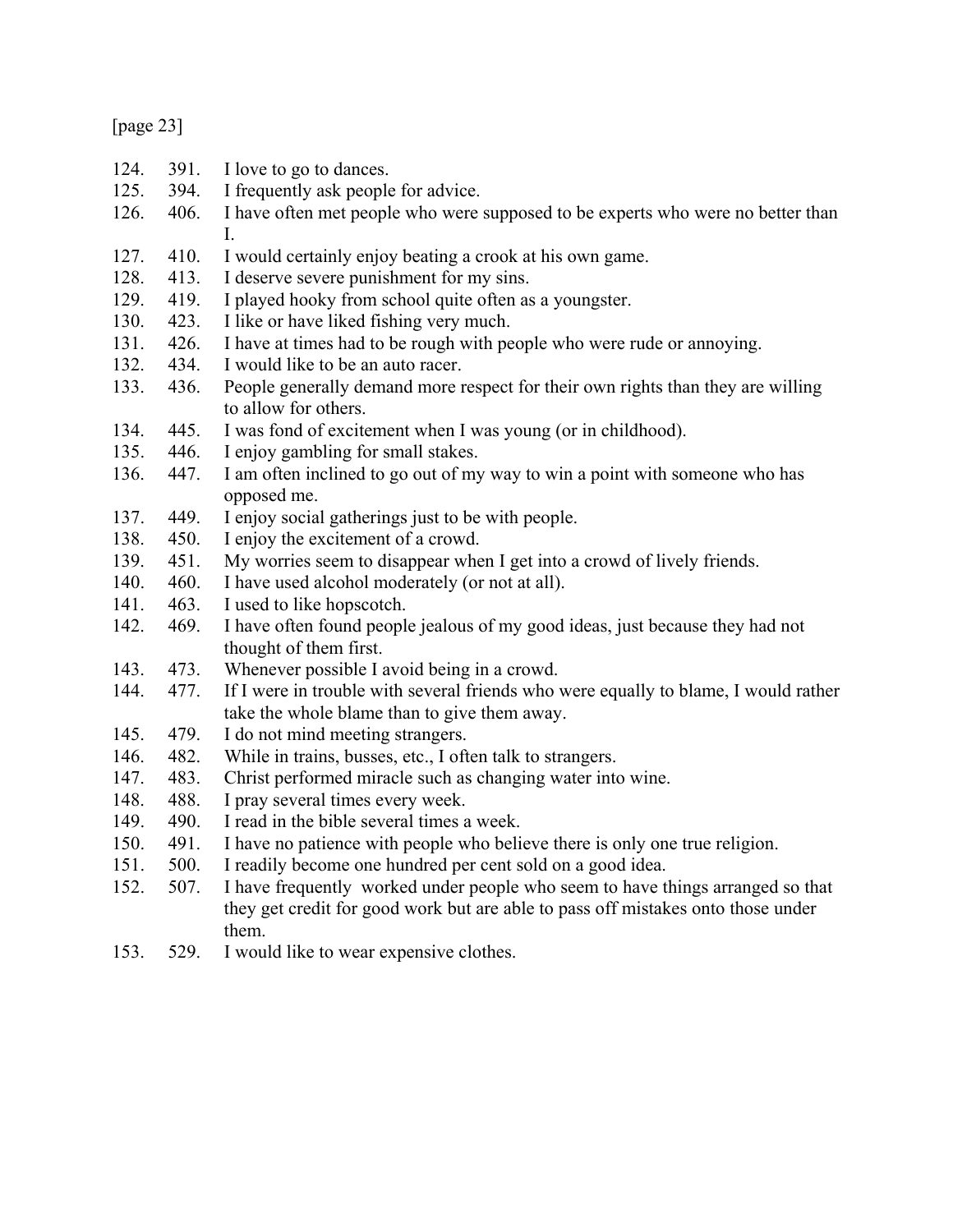| ۱2Ι<br>U |  |
|----------|--|
|----------|--|

| 124. | 391. | I love to go to dances.                                                                                                                                                     |
|------|------|-----------------------------------------------------------------------------------------------------------------------------------------------------------------------------|
| 125. | 394. | I frequently ask people for advice.                                                                                                                                         |
| 126. | 406. | I have often met people who were supposed to be experts who were no better than<br>$I_{\cdot}$                                                                              |
| 127. | 410. | I would certainly enjoy beating a crook at his own game.                                                                                                                    |
| 128. | 413. | I deserve severe punishment for my sins.                                                                                                                                    |
| 129. | 419. | I played hooky from school quite often as a youngster.                                                                                                                      |
| 130. | 423. | I like or have liked fishing very much.                                                                                                                                     |
| 131. | 426. | I have at times had to be rough with people who were rude or annoying.                                                                                                      |
| 132. | 434. | I would like to be an auto racer.                                                                                                                                           |
| 133. | 436. | People generally demand more respect for their own rights than they are willing<br>to allow for others.                                                                     |
| 134. | 445. | I was fond of excitement when I was young (or in childhood).                                                                                                                |
| 135. | 446. | I enjoy gambling for small stakes.                                                                                                                                          |
| 136. | 447. | I am often inclined to go out of my way to win a point with someone who has<br>opposed me.                                                                                  |
| 137. | 449. | I enjoy social gatherings just to be with people.                                                                                                                           |
| 138. | 450. | I enjoy the excitement of a crowd.                                                                                                                                          |
| 139. | 451. | My worries seem to disappear when I get into a crowd of lively friends.                                                                                                     |
| 140. | 460. | I have used alcohol moderately (or not at all).                                                                                                                             |
| 141. | 463. | I used to like hopscotch.                                                                                                                                                   |
| 142. | 469. | I have often found people jealous of my good ideas, just because they had not<br>thought of them first.                                                                     |
| 143. | 473. | Whenever possible I avoid being in a crowd.                                                                                                                                 |
| 144. | 477. | If I were in trouble with several friends who were equally to blame, I would rather<br>take the whole blame than to give them away.                                         |
| 145. | 479. | I do not mind meeting strangers.                                                                                                                                            |
| 146. | 482. | While in trains, busses, etc., I often talk to strangers.                                                                                                                   |
| 147. | 483. | Christ performed miracle such as changing water into wine.                                                                                                                  |
| 148. | 488. | I pray several times every week.                                                                                                                                            |
| 149. | 490. | I read in the bible several times a week.                                                                                                                                   |
| 150. | 491. | I have no patience with people who believe there is only one true religion.                                                                                                 |
| 151. | 500. | I readily become one hundred per cent sold on a good idea.                                                                                                                  |
| 152. | 507. | I have frequently worked under people who seem to have things arranged so that<br>they get credit for good work but are able to pass off mistakes onto those under<br>them. |
| 153. | 529. | I would like to wear expensive clothes.                                                                                                                                     |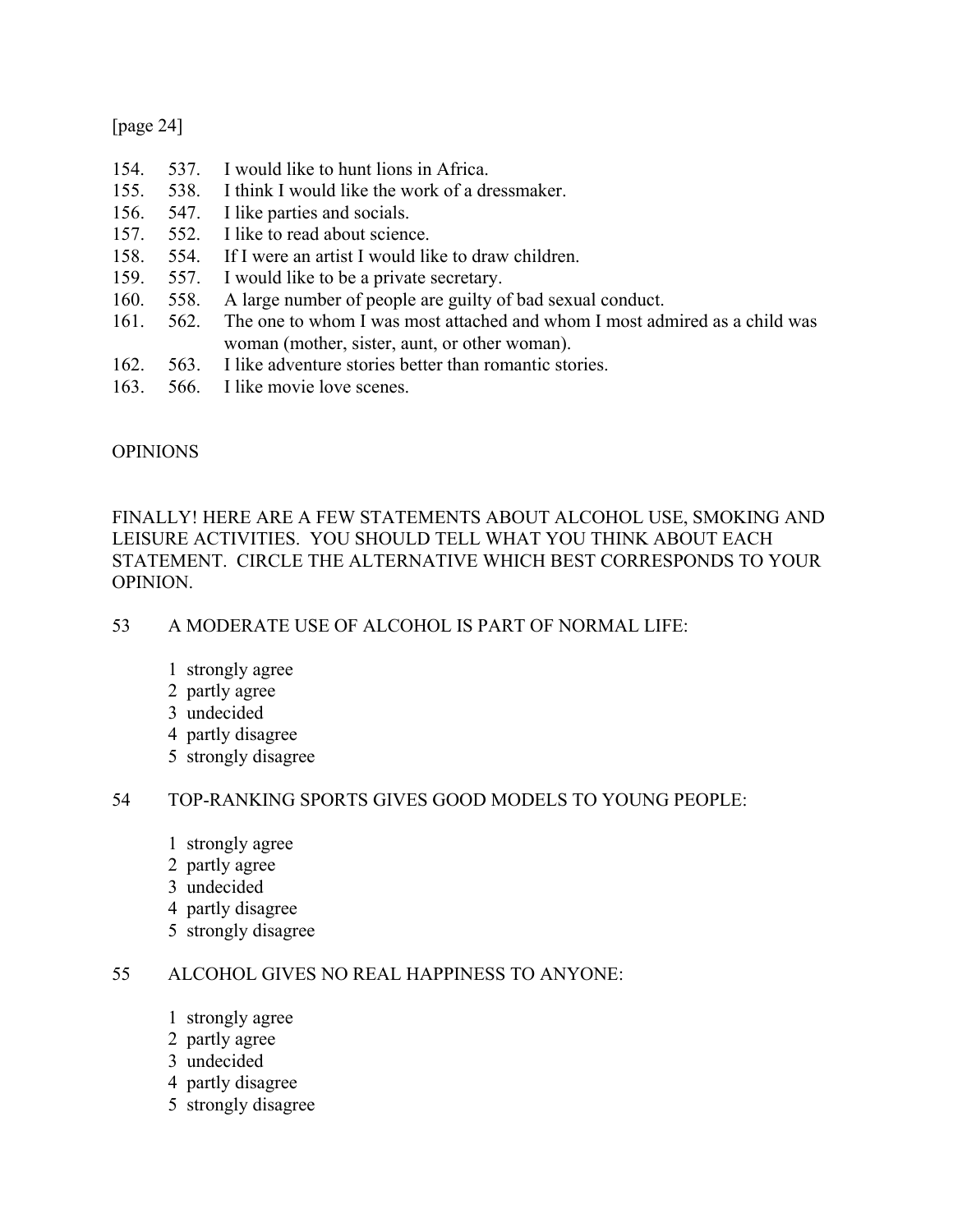## [page 24]

- 154. 537. I would like to hunt lions in Africa. 155. 538. I think I would like the work of a dressmaker. 156. 547. I like parties and socials. 157. 552. I like to read about science. 158. 554. If I were an artist I would like to draw children. 159. 557. I would like to be a private secretary. 160. 558. A large number of people are guilty of bad sexual conduct. 161. 562. The one to whom I was most attached and whom I most admired as a child was woman (mother, sister, aunt, or other woman). 162. 563. I like adventure stories better than romantic stories.
- 163. 566. I like movie love scenes.

## OPINIONS

## FINALLY! HERE ARE A FEW STATEMENTS ABOUT ALCOHOL USE, SMOKING AND LEISURE ACTIVITIES. YOU SHOULD TELL WHAT YOU THINK ABOUT EACH STATEMENT. CIRCLE THE ALTERNATIVE WHICH BEST CORRESPONDS TO YOUR OPINION.

## 53 A MODERATE USE OF ALCOHOL IS PART OF NORMAL LIFE:

- 1 strongly agree
- 2 partly agree
- 3 undecided
- 4 partly disagree
- 5 strongly disagree

## 54 TOP-RANKING SPORTS GIVES GOOD MODELS TO YOUNG PEOPLE:

- 1 strongly agree
- 2 partly agree
- 3 undecided
- 4 partly disagree
- 5 strongly disagree

## 55 ALCOHOL GIVES NO REAL HAPPINESS TO ANYONE:

- 1 strongly agree
- 2 partly agree
- 3 undecided
- 4 partly disagree
- 5 strongly disagree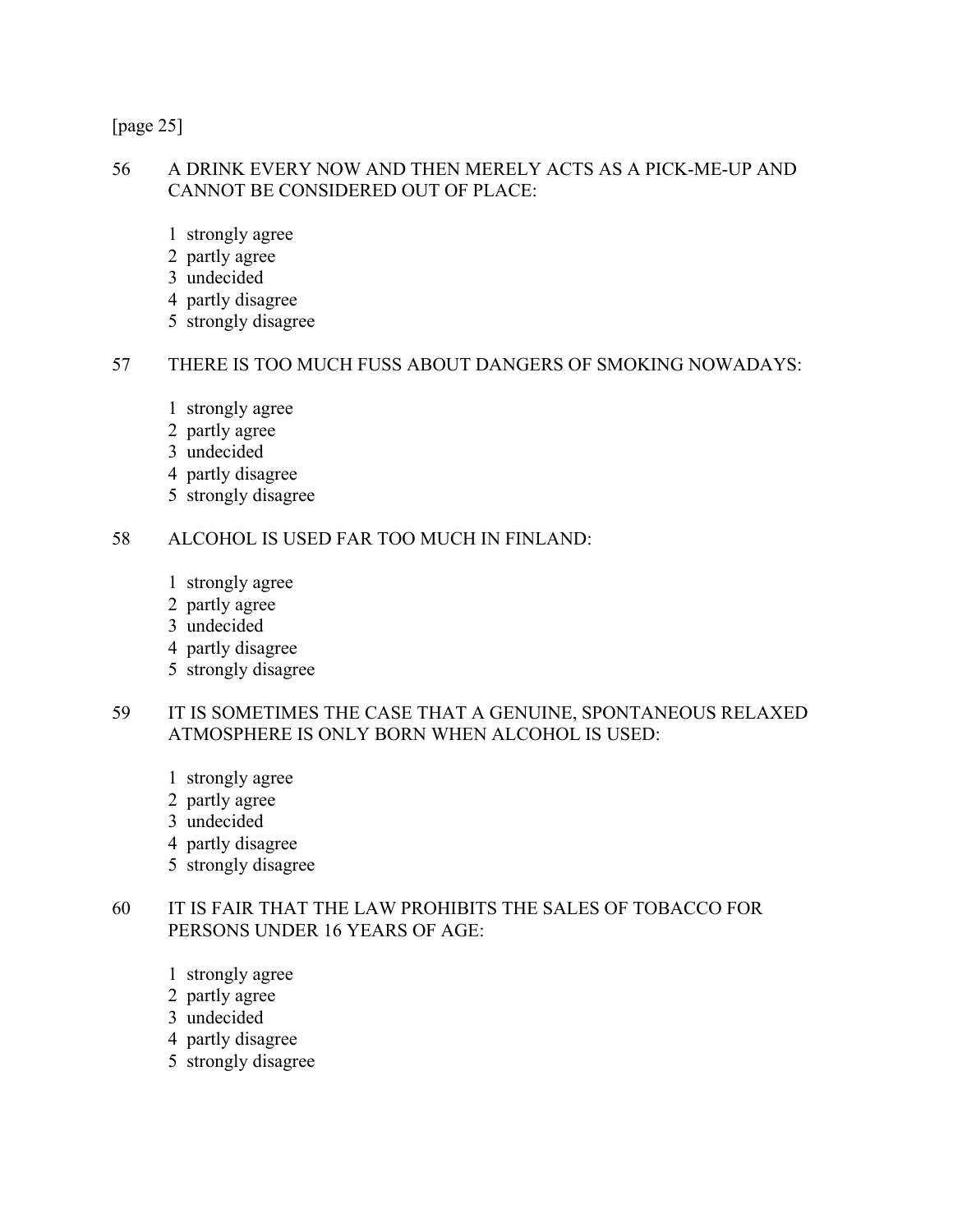[page 25]

#### 56 A DRINK EVERY NOW AND THEN MERELY ACTS AS A PICK-ME-UP AND CANNOT BE CONSIDERED OUT OF PLACE:

- 1 strongly agree
- 2 partly agree
- 3 undecided
- 4 partly disagree
- 5 strongly disagree

#### 57 THERE IS TOO MUCH FUSS ABOUT DANGERS OF SMOKING NOWADAYS:

- 1 strongly agree
- 2 partly agree
- 3 undecided
- 4 partly disagree
- 5 strongly disagree

#### 58 ALCOHOL IS USED FAR TOO MUCH IN FINLAND:

- 1 strongly agree
- 2 partly agree
- 3 undecided
- 4 partly disagree
- 5 strongly disagree

## 59 IT IS SOMETIMES THE CASE THAT A GENUINE, SPONTANEOUS RELAXED ATMOSPHERE IS ONLY BORN WHEN ALCOHOL IS USED:

- 1 strongly agree
- 2 partly agree
- 3 undecided
- 4 partly disagree
- 5 strongly disagree

#### 60 IT IS FAIR THAT THE LAW PROHIBITS THE SALES OF TOBACCO FOR PERSONS UNDER 16 YEARS OF AGE:

- 1 strongly agree
- 2 partly agree
- 3 undecided
- 4 partly disagree
- 5 strongly disagree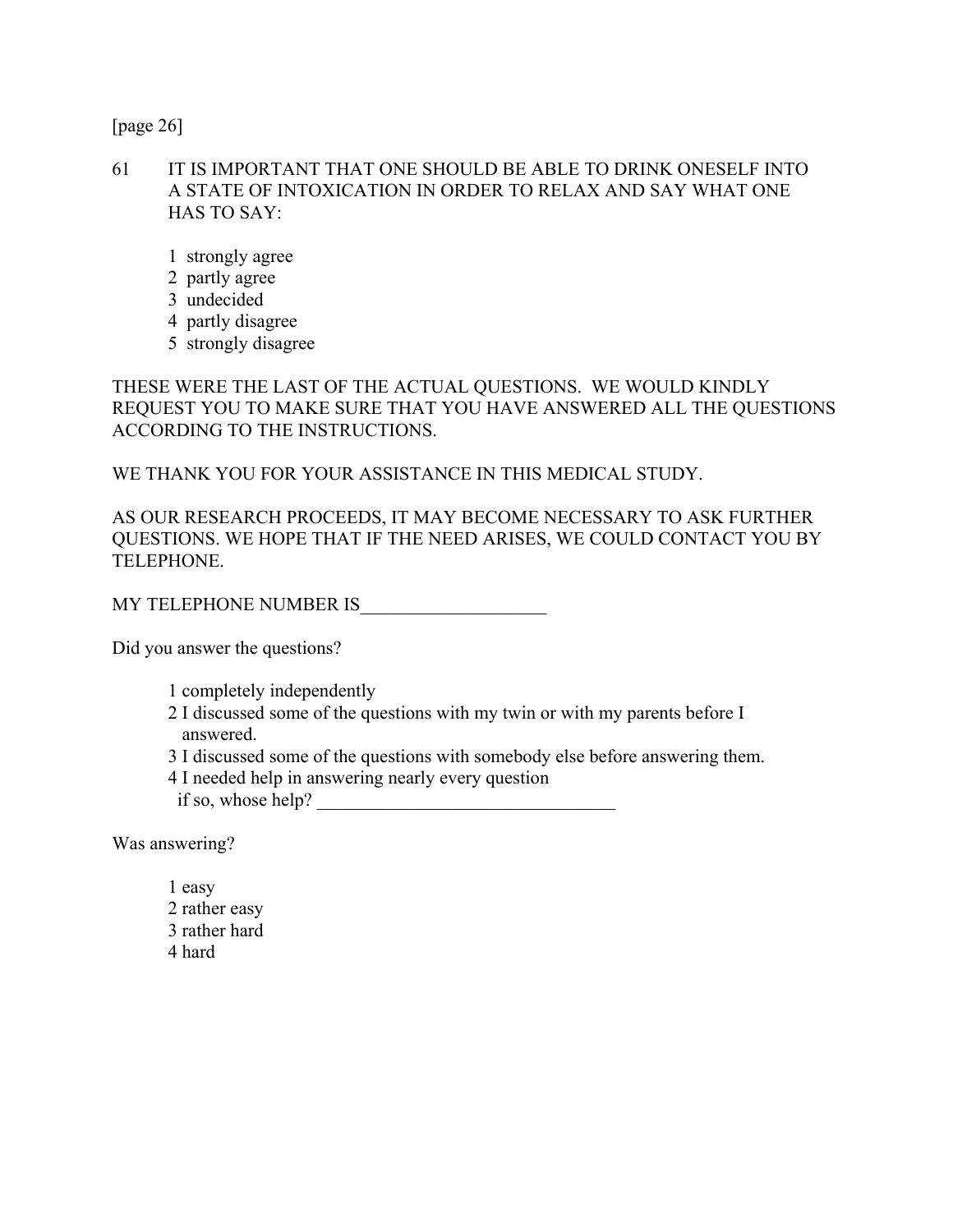[page 26]

- 61 IT IS IMPORTANT THAT ONE SHOULD BE ABLE TO DRINK ONESELF INTO A STATE OF INTOXICATION IN ORDER TO RELAX AND SAY WHAT ONE HAS TO SAY:
	- 1 strongly agree
	- 2 partly agree
	- 3 undecided
	- 4 partly disagree
	- 5 strongly disagree

THESE WERE THE LAST OF THE ACTUAL QUESTIONS. WE WOULD KINDLY REQUEST YOU TO MAKE SURE THAT YOU HAVE ANSWERED ALL THE QUESTIONS ACCORDING TO THE INSTRUCTIONS.

WE THANK YOU FOR YOUR ASSISTANCE IN THIS MEDICAL STUDY.

AS OUR RESEARCH PROCEEDS, IT MAY BECOME NECESSARY TO ASK FURTHER QUESTIONS. WE HOPE THAT IF THE NEED ARISES, WE COULD CONTACT YOU BY TELEPHONE.

MY TELEPHONE NUMBER IS

Did you answer the questions?

- 1 completely independently
- 2 I discussed some of the questions with my twin or with my parents before I answered.
- 3 I discussed some of the questions with somebody else before answering them.
- 4 I needed help in answering nearly every question
- if so, whose help? \_\_\_\_\_\_\_\_\_\_\_\_\_\_\_\_\_\_\_\_\_\_\_\_\_\_\_\_\_\_\_\_

Was answering?

 1 easy 2 rather easy 3 rather hard 4 hard